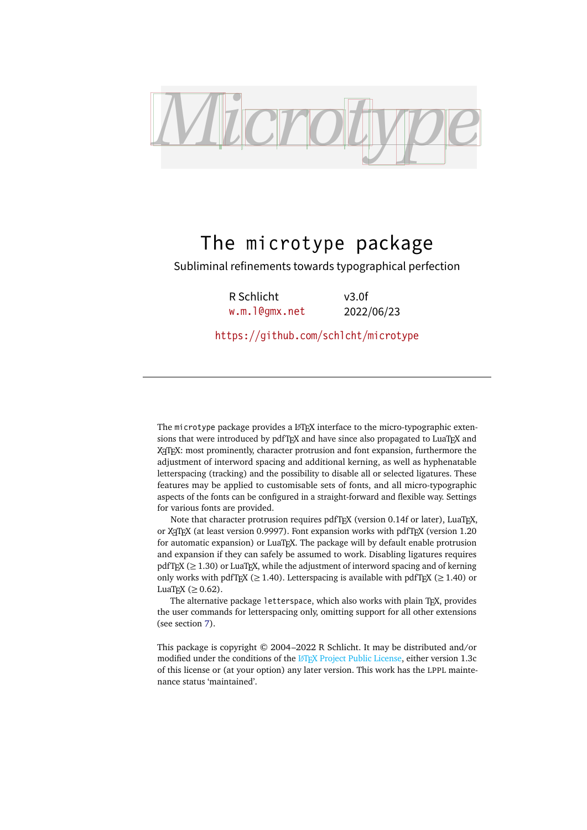<span id="page-0-1"></span><span id="page-0-0"></span>

# The microtype package

Subliminal refinements towards typographical perfection

R Schlicht [w.m.l@gmx.net](mailto:Robert%20Schlicht%3cw.m.l@gmx.net%3e?subject=[microtype%20v3.0f])

v3.0f 2022/06/23

<https://github.com/schlcht/microtype>

The microtype package provides a LATFX interface to the micro-typographic extensions that were introduced by pdfTeX and have since also propagated to LuaTeX and X<sub>T</sub>T<sub>E</sub>X: most prominently, character protrusion and font expansion, furthermore the adjustment of interword spacing and additional kerning, as well as hyphenatable letterspacing (tracking) and the possibility to disable all or selected ligatures. These features may be applied to customisable sets of fonts, and all micro-typographic aspects of the fonts can be configured in a straight-forward and flexible way. Settings for various fonts are provided.

Note that character protrusion requires pdfTFX (version 0.14f or later), LuaTFX, or X<sub>T</sub>T<sub>F</sub>X (at least version 0.9997). Font expansion works with pdfT<sub>F</sub>X (version 1.20 for automatic expansion) or LuaT<sub>E</sub>X. The package will by default enable protrusion and expansion if they can safely be assumed to work. Disabling ligatures requires pdfTEX ( $\geq$  1.30) or LuaTEX, while the adjustment of interword spacing and of kerning only works with pdfT<sub>F</sub>X ( $\geq$  1.40). Letterspacing is available with pdfT<sub>F</sub>X ( $\geq$  1.40) or LuaT<sub>E</sub>X ( $\geq$  0.62).

The alternative package letterspace, which also works with plain TFX, provides the user commands for letterspacing only, omitting support for all other extensions (see section [7\)](#page-22-0).

This package is copyright © 2004–2022 R Schlicht. It may be distributed and/or modified under the conditions of the LATEX Project Public License, either version 1.3c of this license or (at your option) any later version. This work has the LPPL maintenance status 'maintained'.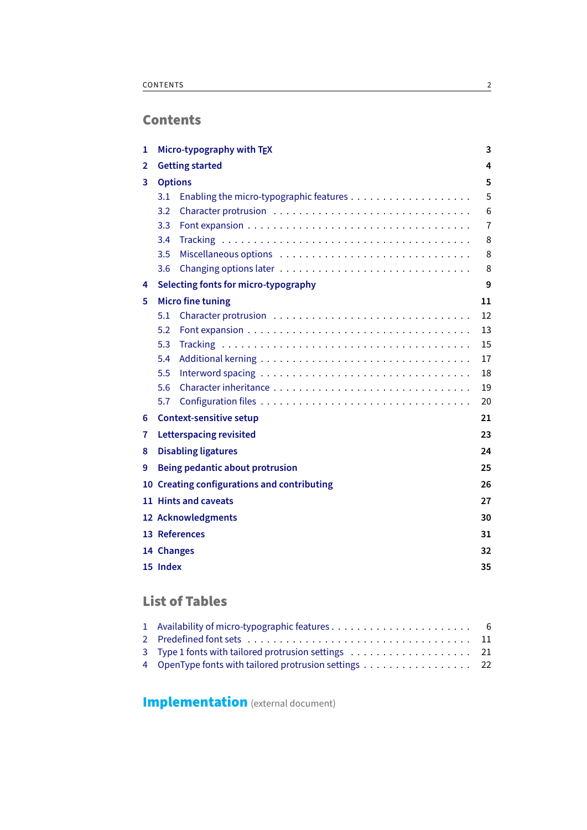# **Contents**

| 1 | Micro-typography with TEX                         | 3  |  |  |  |
|---|---------------------------------------------------|----|--|--|--|
| 2 | <b>Getting started</b>                            |    |  |  |  |
| 3 | <b>Options</b>                                    | 5  |  |  |  |
|   | 3.1                                               | 5  |  |  |  |
|   | 3.2                                               | 6  |  |  |  |
|   | 3.3                                               | 7  |  |  |  |
|   | 3.4                                               | 8  |  |  |  |
|   | 3.5                                               | 8  |  |  |  |
|   | 3.6                                               | 8  |  |  |  |
| 4 | Selecting fonts for micro-typography              | 9  |  |  |  |
| 5 | <b>Micro fine tuning</b>                          | 11 |  |  |  |
|   | 5.1                                               | 12 |  |  |  |
|   | 5.2                                               | 13 |  |  |  |
|   | 5.3                                               | 15 |  |  |  |
|   | 5.4                                               | 17 |  |  |  |
|   | 5.5                                               | 18 |  |  |  |
|   | 5.6                                               | 19 |  |  |  |
|   | 5.7                                               | 20 |  |  |  |
| 6 | <b>Context-sensitive setup</b><br>21              |    |  |  |  |
| 7 | <b>Letterspacing revisited</b><br>23              |    |  |  |  |
| 8 | <b>Disabling ligatures</b><br>24                  |    |  |  |  |
| 9 | Being pedantic about protrusion<br>25             |    |  |  |  |
|   | 10 Creating configurations and contributing<br>26 |    |  |  |  |
|   | 11 Hints and caveats<br>27                        |    |  |  |  |
|   | 12 Acknowledgments<br>30                          |    |  |  |  |
|   | 13 References<br>31                               |    |  |  |  |
|   | 32<br>14 Changes                                  |    |  |  |  |
|   | 15 Index<br>35                                    |    |  |  |  |

# List of Tables

| 3 Type 1 fonts with tailored protrusion settings 21   |  |
|-------------------------------------------------------|--|
| 4 OpenType fonts with tailored protrusion settings 22 |  |

**[Implementation](#page-0-0)** (external document)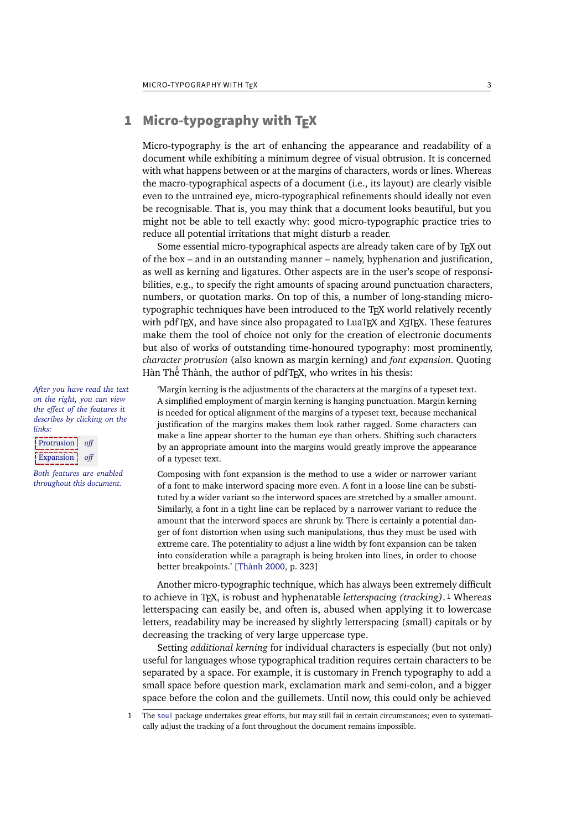## <span id="page-2-1"></span><span id="page-2-0"></span>1 Micro-typography with  $T_{E}X$

Micro-typography is the art of enhancing the appearance and readability of a document while exhibiting a minimum degree of visual obtrusion. It is concerned with what happens between or at the margins of characters, words or lines. Whereas the macro-typographical aspects of a document (i.e., its layout) are clearly visible even to the untrained eye, micro-typographical refinements should ideally not even be recognisable. That is, you may think that a document looks beautiful, but you might not be able to tell exactly why: good micro-typographic practice tries to reduce all potential irritations that might disturb a reader.

Some essential micro-typographical aspects are already taken care of by TeX out of the box – and in an outstanding manner – namely, hyphenation and justification, as well as kerning and ligatures. Other aspects are in the user's scope of responsibilities, e.g., to specify the right amounts of spacing around punctuation characters, numbers, or quotation marks. On top of this, a number of long-standing microtypographic techniques have been introduced to the TeX world relatively recently with pdfTEX, and have since also propagated to LuaTEX and XETEX. These features make them the tool of choice not only for the creation of electronic documents but also of works of outstanding time-honoured typography: most prominently, *character protrusion* (also known as margin kerning) and *font expansion*. Quoting Hàn Thế Thành, the author of pdfT<sub>F</sub>X, who writes in his thesis:

'Margin kerning is the adjustments of the characters at the margins of a typeset text. A simplified employment of margin kerning is hanging punctuation. Margin kerning is needed for optical alignment of the margins of a typeset text, because mechanical justification of the margins makes them look rather ragged. Some characters can make a line appear shorter to the human eye than others. Shifting such characters by an appropriate amount into the margins would greatly improve the appearance of a typeset text. is needed for optical alignment of the margins of a typeset text, because mechanical<br>justification of the margins makes them look rather ragged. Some characters can<br>make a line appear shorter to the human eye than others. A simplified employment of margin kerning is hanging punctuation. Margin kerning<br>is needed for optical alignment of the margins of a typeset text, because mechanical<br>justification of the margins makes them look rather ragg

Composing with font expansion is the method to use a wider or narrower variant of a font to make interword spacing more even. A font in a loose line can be substi-to make more even. A font in a loose line can be substituted by a wider variant so the interword spaces are stretched by a smaller amount. Similarly, a font in a tight line can be replaced by a narrower variant to reduce the amount that the interword spaces are shrunk by. There is certainly a potential danger of font distortion when using such manipulations, thus they must be used with extreme care. The potentiality to adjust a line width by font expansion can be taken into consideration while a paragraph is being broken into lines, in order to choose better breakpoints.' [Thành 2000, p. 323] tuted by a wider variant so the interword spaces are stretched by a smaller amount.<br>Similarly, a font in a tight line can be replaced by a narrower variant to reduce the<br>amount that the interword spaces are shrunk by. Ther ger of font distortion when using such manipulations, thus they must be used with<br>extreme care. The potentiality to adjust a line width by font expansion can be taken<br>into consideration while a paragraph is being broken in

Another micro-typographic technique, which has always been extremely difficult to achieve in TeX , is robust and hyphenatable *letterspacing (tracking)*. 1 Whereas letterspacing can easily be, and often is, abused when applying it to lowercase letters, readability may be increased by slightly letterspacing (small) capitals or by decreasing the tracking of very large uppercase type.

Setting *additional kerning* for individual characters is especially (but not only) useful for languages whose typographical tradition requires certain characters to be separated by a space. For example, it is customary in French typography to add a small space before question mark, exclamation mark and semi-colon, and a bigger space before the colon and the guillemets. Until now, this could only be achieved

1 The [soul](#page-31-1) package undertakes great efforts, but may still fail in certain circumstances; even to systematically adjust the tracking of a font throughout the document remains impossible.

*After you have read the text If you had a PDF viewer that on the right, you can view understands PDF 1.5, you the effect of the features it describes by clicking on the micro-typographic features by links: clicking on the links.*

Protrusion off Expansion off

*Both features are enabled throughout this document.*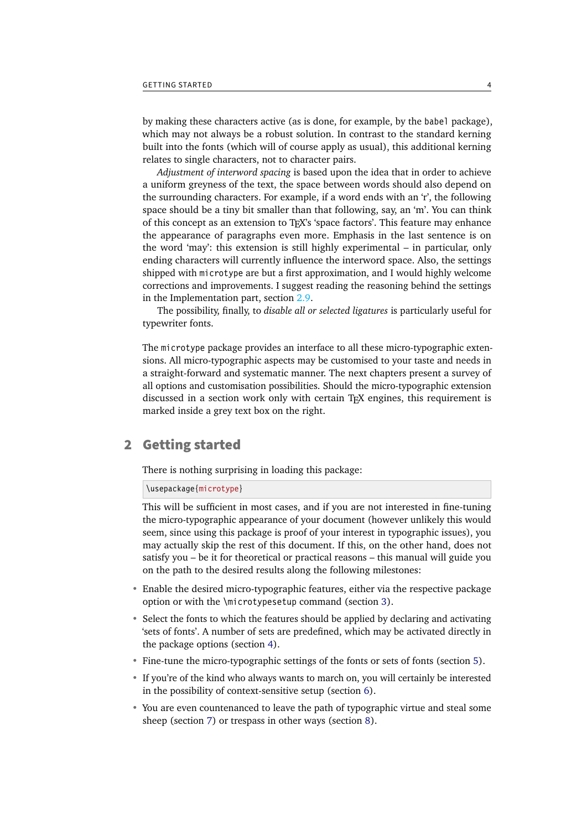<span id="page-3-1"></span>by making these characters active (as is done, for example, by the babel package), which may not always be a robust solution. In contrast to the standard kerning built into the fonts (which will of course apply as usual), this additional kerning relates to single characters, not to character pairs.

*Adjustment of interword spacing* is based upon the idea that in order to achieve a uniform greyness of the text, the space between words should also depend on the surrounding characters. For example, if a word ends with an 'r', the following space should be a tiny bit smaller than that following, say, an 'm'. You can think of this concept as an extension to TeX 's 'space factors'. This feature may enhance the appearance of paragraphs even more. Emphasis in the last sentence is on the word 'may': this extension is still highly experimental – in particular, only ending characters will currently influence the interword space. Also, the settings shipped with microtype are but a first approximation, and I would highly welcome corrections and improvements. I suggest reading the reasoning behind the settings in the Implementation part, section 2.9.

The possibility, finally, to *disable all or selected ligatures* is particularly useful for typewriter fonts.

The microtype package provides an interface to all these micro-typographic extensions. All micro-typographic aspects may be customised to your taste and needs in a straight-forward and systematic manner. The next chapters present a survey of all options and customisation possibilities. Should the micro-typographic extension discussed in a section work only with certain TeX engines, this requirement is marked inside a grey text box on the right.

## <span id="page-3-0"></span>2 Getting started

There is nothing surprising in loading this package:

\usepackage{microtype}

This will be sufficient in most cases, and if you are not interested in fine-tuning the micro-typographic appearance of your document (however unlikely this would seem, since using this package is proof of your interest in typographic issues), you may actually skip the rest of this document. If this, on the other hand, does not satisfy you – be it for theoretical or practical reasons – this manual will guide you on the path to the desired results along the following milestones:

- Enable the desired micro-typographic features, either via the respective package option or with the \microtypesetup command (section [3\)](#page-4-0).
- Select the fonts to which the features should be applied by declaring and activating 'sets of fonts'. A number of sets are predefined, which may be activated directly in the package options (section [4\)](#page-8-0).
- Fine-tune the micro-typographic settings of the fonts or sets of fonts (section [5\)](#page-10-0).
- If you're of the kind who always wants to march on, you will certainly be interested in the possibility of context-sensitive setup (section [6\)](#page-20-0).
- You are even countenanced to leave the path of typographic virtue and steal some sheep (section [7\)](#page-22-0) or trespass in other ways (section [8\)](#page-23-0).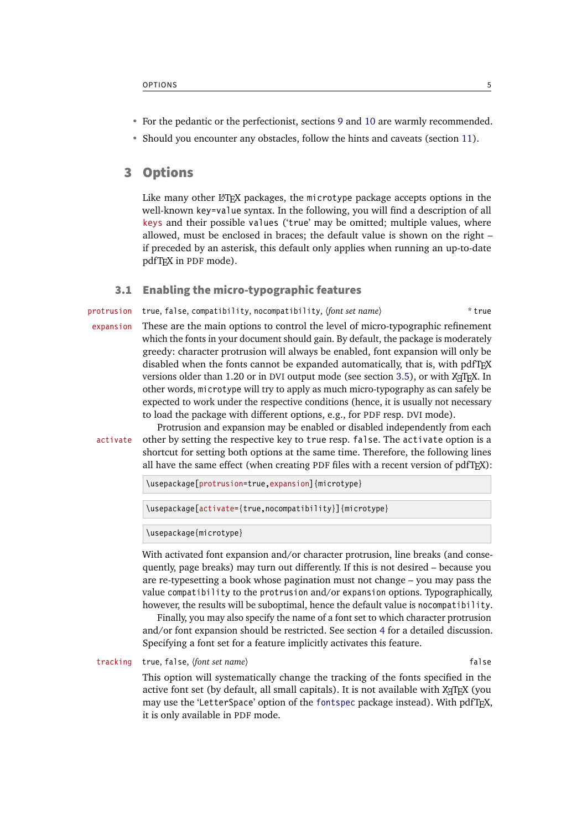- <span id="page-4-2"></span>• For the pedantic or the perfectionist, sections [9](#page-24-0) and [10](#page-25-0) are warmly recommended.
- Should you encounter any obstacles, follow the hints and caveats (section [11\)](#page-26-0).

## <span id="page-4-0"></span>3 Options

Like many other  $L^{\text{th}}$  packages, the microtype package accepts options in the well-known key=value syntax. In the following, you will find a description of all keys and their possible values ('true' may be omitted; multiple values, where allowed, must be enclosed in braces; the default value is shown on the right – if preceded by an asterisk, this default only applies when running an up-to-date pdfTeX in PDF mode).

## <span id="page-4-1"></span>3.1 Enabling the micro-typographic features

protrusion true, false, compatibility, nocompatibility,  $\{font set name \}$  \* true

expansion These are the main options to control the level of micro-typographic refinement which the fonts in your document should gain. By default, the package is moderately greedy: character protrusion will always be enabled, font expansion will only be disabled when the fonts cannot be expanded automatically, that is, with pdfTeX versions older than 1.20 or in DVI output mode (see section [3.5\)](#page-7-1), or with  $X \notin T_F X$ . In other words, microtype will try to apply as much micro-typography as can safely be expected to work under the respective conditions (hence, it is usually not necessary to load the package with different options, e.g., for PDF resp. DVI mode).

Protrusion and expansion may be enabled or disabled independently from each activate other by setting the respective key to true resp. false. The activate option is a shortcut for setting both options at the same time. Therefore, the following lines all have the same effect (when creating PDF files with a recent version of  $pdfTrX$ ):

\usepackage[protrusion=true,expansion]{microtype}

\usepackage[activate={true,nocompatibility}]{microtype}

\usepackage{microtype}

With activated font expansion and/or character protrusion, line breaks (and consequently, page breaks) may turn out differently. If this is not desired – because you are re-typesetting a book whose pagination must not change – you may pass the value compatibility to the protrusion and/or expansion options. Typographically, however, the results will be suboptimal, hence the default value is nocompatibility.

Finally, you may also specify the name of a font set to which character protrusion and/or font expansion should be restricted. See section [4](#page-8-0) for a detailed discussion. Specifying a font set for a feature implicitly activates this feature.

tracking true, false, (font set name) **false** false

This option will systematically change the tracking of the fonts specified in the active font set (by default, all small capitals). It is not available with XFIFX (you may use the 'LetterSpace' option of the [fontspec](#page-31-2) package instead). With pdfT<sub>F</sub>X, it is only available in PDF mode.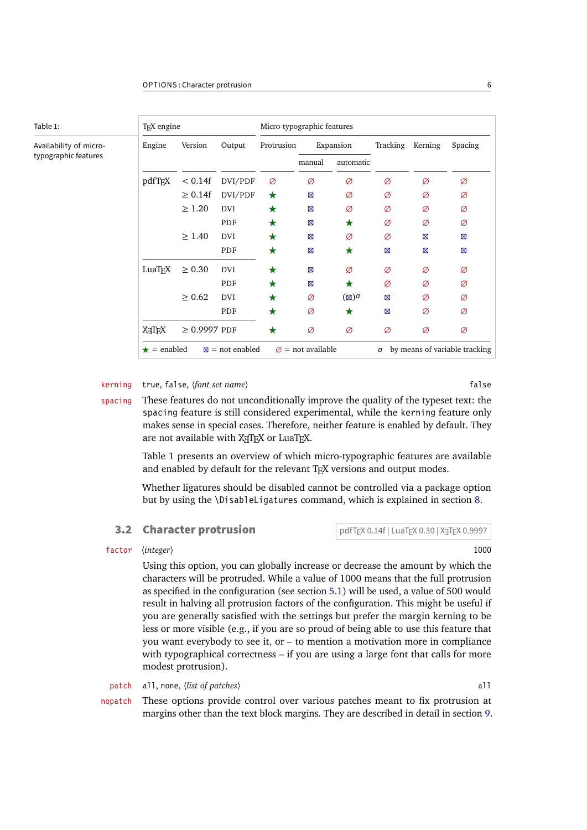<span id="page-5-2"></span><span id="page-5-1"></span>

| Table 1:               | T <sub>F</sub> X engine |                   |                           | Micro-typographic features |                               |                 |          |                               |         |
|------------------------|-------------------------|-------------------|---------------------------|----------------------------|-------------------------------|-----------------|----------|-------------------------------|---------|
| Availability of micro- | Engine                  | Version           | Output                    | Protrusion                 |                               | Expansion       | Tracking | Kerning                       | Spacing |
| typographic features   |                         |                   |                           |                            | manual                        | automatic       |          |                               |         |
|                        | pdfTFX                  | < 0.14f           | DVI/PDF                   | Ø                          | Ø                             | Ø               | Ø        | Ø                             | Ø       |
|                        |                         | $\geq 0.14f$      | DVI/PDF                   | $\star$                    | ⊠                             | Ø               | Ø        | Ø                             | Ø       |
|                        |                         | $\geq 1.20$       | <b>DVI</b>                | $\bigstar$                 | ⊠                             | Ø               | Ø        | Ø                             | Ø       |
|                        |                         |                   | PDF                       | $\bigstar$                 | ⊠                             | ★               | Ø        | Ø                             | Ø       |
|                        |                         | $\geq 1.40$       | <b>DVI</b>                | ★                          | ⊠                             | Ø               | Ø        | ⊠                             | ⊠       |
|                        |                         |                   | PDF                       | $\bigstar$                 | Ø                             | $\bigstar$      | Ø        | ⊠                             | Ø       |
|                        | LuaTEX                  | $\geq 0.30$       | <b>DVI</b>                | ★                          | ⊠                             | Ø               | Ø        | Ø                             | Ø       |
|                        |                         |                   | PDF                       | $\bigstar$                 | ⊠                             | ★               | Ø        | Ø                             | Ø       |
|                        |                         | $\geq 0.62$       | <b>DVI</b>                | $\bigstar$                 | Ø                             | $(\boxtimes)^d$ | Ø        | Ø                             | Ø       |
|                        |                         |                   | PDF                       | $\bigstar$                 | Ø                             | $\bigstar$      | Ø        | Ø                             | Ø       |
|                        | XHTEX                   | $\geq$ 0.9997 PDF |                           | $\bigstar$                 | Ø                             | Ø               | Ø        | Ø                             | Ø       |
|                        | $\star$ = enabled       |                   | $\boxtimes$ = not enabled |                            | $\varnothing$ = not available |                 | а        | by means of variable tracking |         |

## kerning true, false, (font set name) **false** false

spacing These features do not unconditionally improve the quality of the typeset text: the spacing feature is still considered experimental, while the kerning feature only makes sense in special cases. Therefore, neither feature is enabled by default. They are not available with XATEX or LuaTEX.

> Table [1](#page-5-1) presents an overview of which micro-typographic features are available and enabled by default for the relevant TFX versions and output modes.

> Whether ligatures should be disabled cannot be controlled via a package option but by using the \DisableLigatures command, which is explained in section [8.](#page-23-0)

### <span id="page-5-0"></span>**3.2 Character protrusion**  $pdfTrX 0.14f | LuaTrX 0.30 | XaTrX 0.9997$

## factor 〈*integer*〉 1000

Using this option, you can globally increase or decrease the amount by which the characters will be protruded. While a value of 1000 means that the full protrusion as specified in the configuration (see section [5.1\)](#page-11-0) will be used, a value of 500 would result in halving all protrusion factors of the configuration. This might be useful if you are generally satisfied with the settings but prefer the margin kerning to be less or more visible (e.g., if you are so proud of being able to use this feature that you want everybody to see it, or – to mention a motivation more in compliance with typographical correctness – if you are using a large font that calls for more modest protrusion).

patch all, none, 〈*list of patches*〉 all

nopatch These options provide control over various patches meant to fix protrusion at margins other than the text block margins. They are described in detail in section [9.](#page-24-0)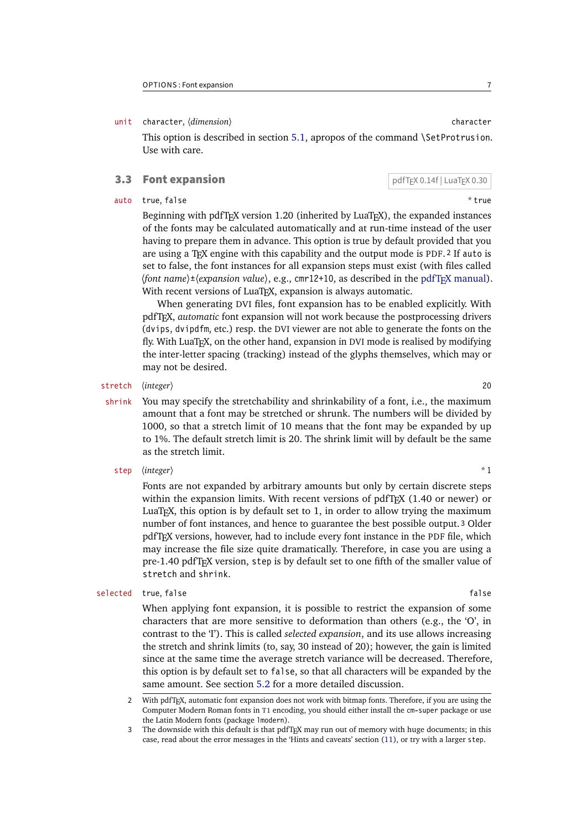### <span id="page-6-1"></span>unit character,  $\langle$ *dimension* $\rangle$

This option is described in section [5.1,](#page-11-0) apropos of the command \SetProtrusion. Use with care.

## <span id="page-6-0"></span>**3.3 Font expansion pdfTEX 0.14f | LuaTeX 0.30**

### auto true, false  $*$  true

Beginning with  $pdfTrX$  version 1.20 (inherited by LuaT $FX$ ), the expanded instances of the fonts may be calculated automatically and at run-time instead of the user having to prepare them in advance. This option is true by default provided that you are using a TeX engine with this capability and the output mode is PDF. 2 If auto is set to false, the font instances for all expansion steps must exist (with files called  $\langle$  font name  $\rangle \pm \langle$  expansion value $\rangle$ , e.g., cmr12+10, as described in the pdfT<sub>F</sub>X [manual\)](#page-30-2). With recent versions of LuaTEX, expansion is always automatic.

When generating DVI files, font expansion has to be enabled explicitly. With pdfTeX , *automatic* font expansion will not work because the postprocessing drivers (dvips, dvipdfm, etc.) resp. the DVI viewer are not able to generate the fonts on the fly. With LuaTFX, on the other hand, expansion in DVI mode is realised by modifying the inter-letter spacing (tracking) instead of the glyphs themselves, which may or may not be desired.

## stretch 〈*integer*〉 20

- shrink You may specify the stretchability and shrinkability of a font, i.e., the maximum amount that a font may be stretched or shrunk. The numbers will be divided by 1000, so that a stretch limit of 10 means that the font may be expanded by up to 1%. The default stretch limit is 20. The shrink limit will by default be the same as the stretch limit.
	- step  $\langle integer \rangle$  \* 1

Fonts are not expanded by arbitrary amounts but only by certain discrete steps within the expansion limits. With recent versions of pdfTeX (1.40 or newer) or LuaT<sub>F</sub>X, this option is by default set to  $1$ , in order to allow trying the maximum number of font instances, and hence to guarantee the best possible output. 3 Older pdfTeX versions, however, had to include every font instance in the PDF file, which may increase the file size quite dramatically. Therefore, in case you are using a pre-1.40 pdfTeX version, step is by default set to one fifth of the smaller value of stretch and shrink.

### selected true, false false

When applying font expansion, it is possible to restrict the expansion of some characters that are more sensitive to deformation than others (e.g., the 'O', in contrast to the 'I'). This is called *selected expansion*, and its use allows increasing the stretch and shrink limits (to, say, 30 instead of 20); however, the gain is limited since at the same time the average stretch variance will be decreased. Therefore, this option is by default set to false, so that all characters will be expanded by the same amount. See section [5.2](#page-12-0) for a more detailed discussion.

<sup>2</sup> With pdfTeX , automatic font expansion does not work with bitmap fonts. Therefore, if you are using the Computer Modern Roman fonts in T1 encoding, you should either install the cm-super package or use the Latin Modern fonts (package lmodern).

<sup>3</sup> The downside with this default is that pdfTeX may run out of memory with huge documents; in this case, read about the error messages in the 'Hints and caveats' section [\(11\)](#page-26-0), or try with a larger step.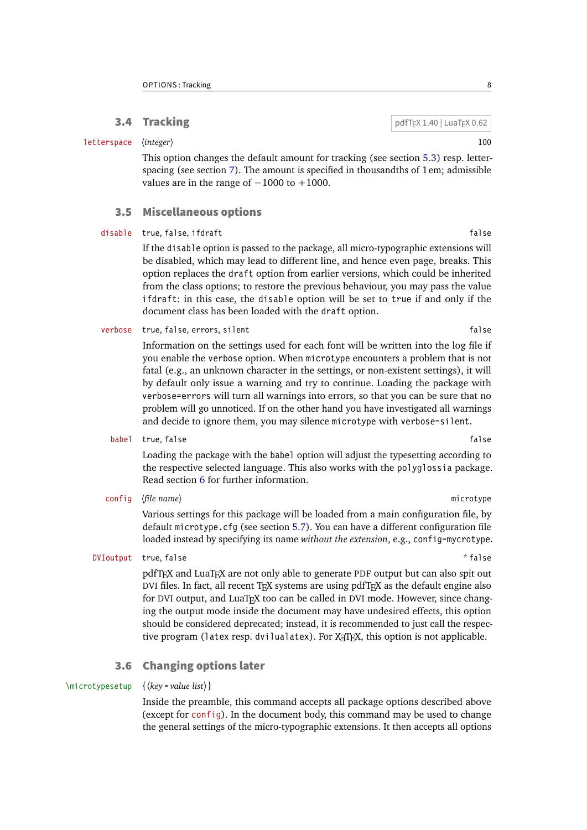## <span id="page-7-3"></span><span id="page-7-0"></span>**3.4 Tracking pdfTeX 1.40 | LuaTeX 0.62**

This option changes the default amount for tracking (see section [5.3\)](#page-14-0) resp. letterspacing (see section [7\)](#page-22-0). The amount is specified in thousandths of 1em; admissible values are in the range of  $-1000$  to  $+1000$ .

letterspace 〈*integer*〉 100

## <span id="page-7-1"></span>3.5 Miscellaneous options

disable true, false, ifdraft false false

If the disable option is passed to the package, all micro-typographic extensions will be disabled, which may lead to different line, and hence even page, breaks. This option replaces the draft option from earlier versions, which could be inherited from the class options; to restore the previous behaviour, you may pass the value ifdraft: in this case, the disable option will be set to true if and only if the document class has been loaded with the draft option.

verbose true, false, errors, silent false false false false

Information on the settings used for each font will be written into the log file if you enable the verbose option. When microtype encounters a problem that is not fatal (e.g., an unknown character in the settings, or non-existent settings), it will by default only issue a warning and try to continue. Loading the package with verbose=errors will turn all warnings into errors, so that you can be sure that no problem will go unnoticed. If on the other hand you have investigated all warnings and decide to ignore them, you may silence microtype with verbose=silent.

babel true, false false false false false false false false false false false false false false false false false false false false false false false false false false false false false false false false false false false

Loading the package with the babel option will adjust the typesetting according to the respective selected language. This also works with the polyglossia package. Read section [6](#page-20-0) for further information.

config 〈*file name*〉 microtype

Various settings for this package will be loaded from a main configuration file, by default microtype.cfg (see section [5.7\)](#page-19-0). You can have a different configuration file loaded instead by specifying its name *without the extension*, e.g., config=mycrotype.

### DVIoutput true, false  $*$  false  $*$  false

pdfTeX and LuaTeX are not only able to generate PDF output but can also spit out DVI files. In fact, all recent TeX systems are using pdfTeX as the default engine also for DVI output, and LuaTFX too can be called in DVI mode. However, since changing the output mode inside the document may have undesired effects, this option should be considered deprecated; instead, it is recommended to just call the respective program (latex resp. dvilualatex). For  $X \notin T \times X$ , this option is not applicable.

## <span id="page-7-2"></span>3.6 Changing options later

## \microtypesetup {〈*key = value list*〉}

Inside the preamble, this command accepts all package options described above (except for config). In the document body, this command may be used to change the general settings of the micro-typographic extensions. It then accepts all options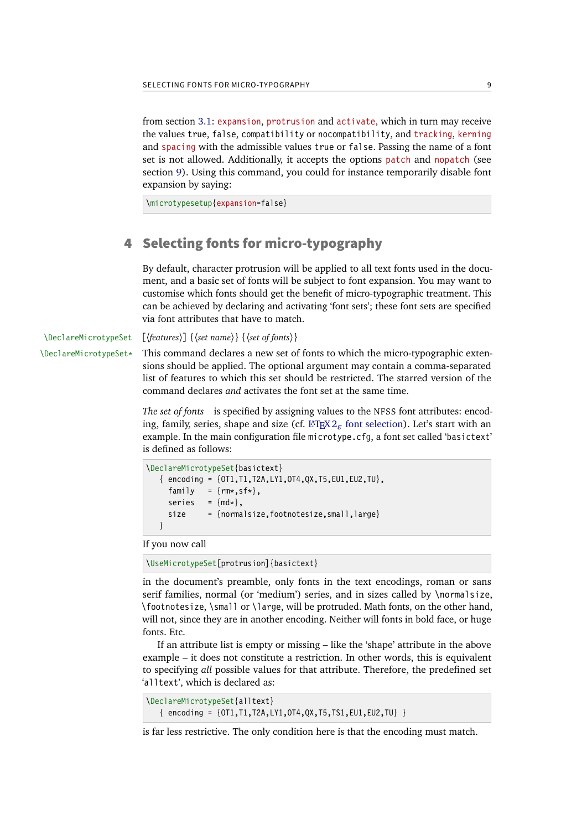<span id="page-8-1"></span>from section [3.1:](#page-4-1) expansion, protrusion and activate, which in turn may receive the values true, false, compatibility or nocompatibility, and tracking, kerning and spacing with the admissible values true or false. Passing the name of a font set is not allowed. Additionally, it accepts the options patch and nopatch (see section [9\)](#page-24-0). Using this command, you could for instance temporarily disable font expansion by saying:

\microtypesetup{expansion=false}

## <span id="page-8-0"></span>4 Selecting fonts for micro-typography

By default, character protrusion will be applied to all text fonts used in the document, and a basic set of fonts will be subject to font expansion. You may want to customise which fonts should get the benefit of micro-typographic treatment. This can be achieved by declaring and activating 'font sets'; these font sets are specified via font attributes that have to match.

\DeclareMicrotypeSet [〈*features*〉] {〈*set name*〉} {〈*set of fonts*〉}

 $\Delta$ DeclareMicrotypeSet\* This command declares a new set of fonts to which the micro-typographic extensions should be applied. The optional argument may contain a comma-separated list of features to which this set should be restricted. The starred version of the command declares *and* activates the font set at the same time.

> *The set of fonts* is specified by assigning values to the NFSS font attributes: encoding, family, series, shape and size (cf. L<sup>AT</sup>EX  $2<sub>\epsilon</sub>$  [font selection\)](#page-30-3). Let's start with an example. In the main configuration file microtype.cfg, a font set called 'basictext' is defined as follows:

```
\DeclareMicrotypeSet{basictext}
   { encoding = {OT1,T1,T2A,LY1,OT4,QX,T5,EU1,EU2,TU},
    family = {rm*,sf*},
    series = {md*},
    size = {normalsize,footnotesize,small,large}
   }
```
If you now call

\UseMicrotypeSet[protrusion]{basictext}

in the document's preamble, only fonts in the text encodings, roman or sans serif families, normal (or 'medium') series, and in sizes called by \normalsize, \footnotesize, \small or \large, will be protruded. Math fonts, on the other hand, will not, since they are in another encoding. Neither will fonts in bold face, or huge fonts. Etc.

If an attribute list is empty or missing – like the 'shape' attribute in the above example – it does not constitute a restriction. In other words, this is equivalent to specifying *all* possible values for that attribute. Therefore, the predefined set 'alltext', which is declared as:

```
\DeclareMicrotypeSet{alltext}
   \{ encoding = \{0T1, T1, T2A, LY1, 0T4, QX, T5, TS1, EU1, EU2, TU\}
```
is far less restrictive. The only condition here is that the encoding must match.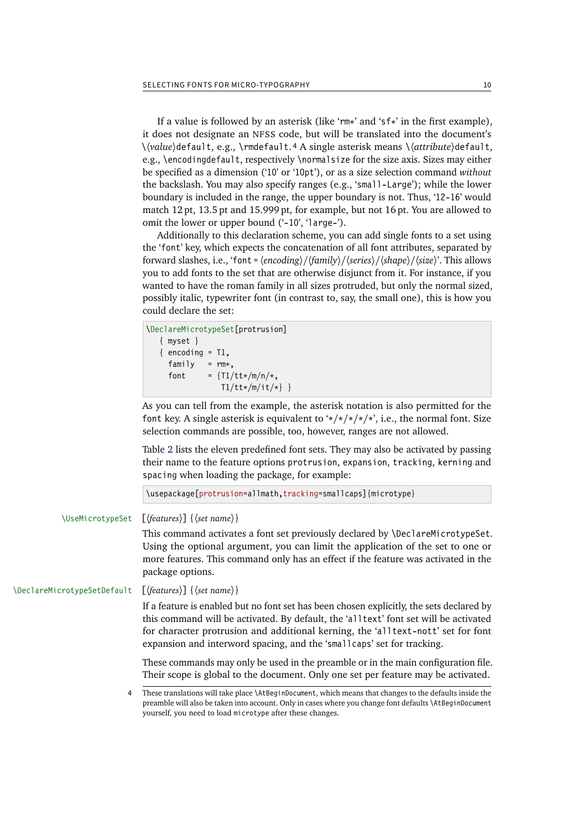<span id="page-9-0"></span>If a value is followed by an asterisk (like 'rm\*' and 'sf\*' in the first example), it does not designate an NFSS code, but will be translated into the document's  $\\d{value}\def \text{all}{\text{def}}$  \(value)default. e.g., \rmdefault, 4 A single asterisk means  $\d{attribute}\def \text{all}{\text{def}}$ e.g., \encodingdefault, respectively \normalsize for the size axis. Sizes may either be specified as a dimension ('10' or '10pt'), or as a size selection command *without* the backslash. You may also specify ranges (e.g., 'small-Large'); while the lower boundary is included in the range, the upper boundary is not. Thus, '12-16' would match 12 pt, 13.5 pt and 15.999 pt, for example, but not 16 pt. You are allowed to omit the lower or upper bound ('-10', 'large-').

Additionally to this declaration scheme, you can add single fonts to a set using the 'font' key, which expects the concatenation of all font attributes, separated by forward slashes, i.e., 'font =  $\langle encoding \rangle / \langle family \rangle / \langle series \rangle / \langle shape \rangle / \langle size \rangle$ '. This allows you to add fonts to the set that are otherwise disjunct from it. For instance, if you wanted to have the roman family in all sizes protruded, but only the normal sized, possibly italic, typewriter font (in contrast to, say, the small one), this is how you could declare the set:

```
\DeclareMicrotypeSet[protrusion]
   { myset }
  \{ encoding = T1,
    family = rm*,
    font = \{T1/tt*/m/n/*.
                T1/tt*/m/it/*}
```
As you can tell from the example, the asterisk notation is also permitted for the font key. A single asterisk is equivalent to  $\frac{\dot{x}}{\dot{x}} \frac{\dot{x}}{\dot{x}}$ , i.e., the normal font. Size selection commands are possible, too, however, ranges are not allowed.

Table [2](#page-10-1) lists the eleven predefined font sets. They may also be activated by passing their name to the feature options protrusion, expansion, tracking, kerning and spacing when loading the package, for example:

\usepackage[protrusion=allmath,tracking=smallcaps]{microtype}

\UseMicrotypeSet [〈*features*〉] {〈*set name*〉}

This command activates a font set previously declared by \DeclareMicrotypeSet. Using the optional argument, you can limit the application of the set to one or more features. This command only has an effect if the feature was activated in the package options.

\DeclareMicrotypeSetDefault [〈*features*〉] {〈*set name*〉}

If a feature is enabled but no font set has been chosen explicitly, the sets declared by this command will be activated. By default, the 'alltext' font set will be activated for character protrusion and additional kerning, the 'alltext-nott' set for font expansion and interword spacing, and the 'smallcaps' set for tracking.

These commands may only be used in the preamble or in the main configuration file. Their scope is global to the document. Only one set per feature may be activated.

<sup>4</sup> These translations will take place \AtBeginDocument, which means that changes to the defaults inside the preamble will also be taken into account. Only in cases where you change font defaults \AtBeginDocument yourself, you need to load microtype after these changes.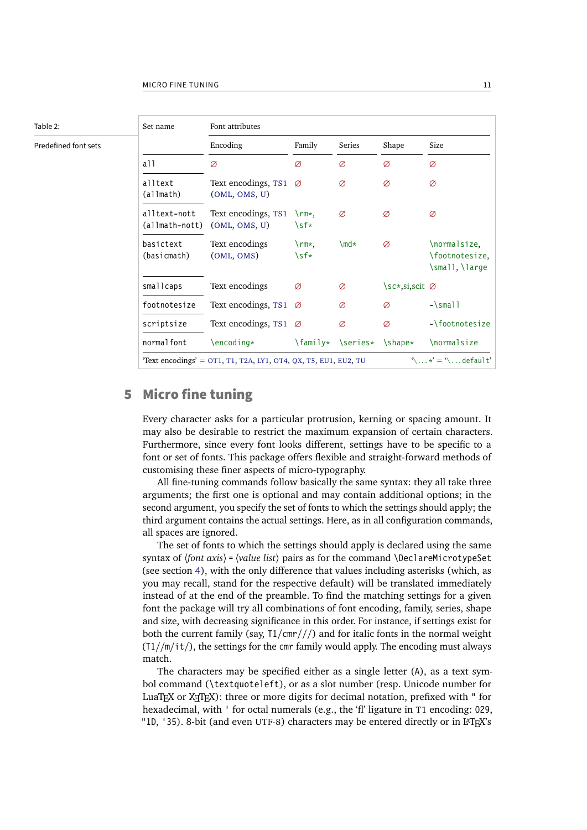<span id="page-10-2"></span><span id="page-10-1"></span>

## <span id="page-10-0"></span>5 Micro fine tuning

Every character asks for a particular protrusion, kerning or spacing amount. It may also be desirable to restrict the maximum expansion of certain characters. Furthermore, since every font looks different, settings have to be specific to a font or set of fonts. This package offers flexible and straight-forward methods of customising these finer aspects of micro-typography.

All fine-tuning commands follow basically the same syntax: they all take three arguments; the first one is optional and may contain additional options; in the second argument, you specify the set of fonts to which the settings should apply; the third argument contains the actual settings. Here, as in all configuration commands, all spaces are ignored.

The set of fonts to which the settings should apply is declared using the same syntax of  $\{font axis\} = \{ value list\}$  pairs as for the command  $\Delta$  DeclareMicrotypeSet (see section [4\)](#page-8-0), with the only difference that values including asterisks (which, as you may recall, stand for the respective default) will be translated immediately instead of at the end of the preamble. To find the matching settings for a given font the package will try all combinations of font encoding, family, series, shape and size, with decreasing significance in this order. For instance, if settings exist for both the current family (say,  $T1/cmr///$ ) and for italic fonts in the normal weight  $(T1//m/i t)$ , the settings for the cmr family would apply. The encoding must always match.

The characters may be specified either as a single letter (A), as a text symbol command (\textquoteleft), or as a slot number (resp. Unicode number for LuaT $FX$  or  $X \rightarrow T \rightarrow Y$  three or more digits for decimal notation, prefixed with " for hexadecimal, with ' for octal numerals (e.g., the 'fl' ligature in T1 encoding: 029, "1D, '35). 8-bit (and even UTF-8) characters may be entered directly or in  $\mathbb{F}T_F X$ 's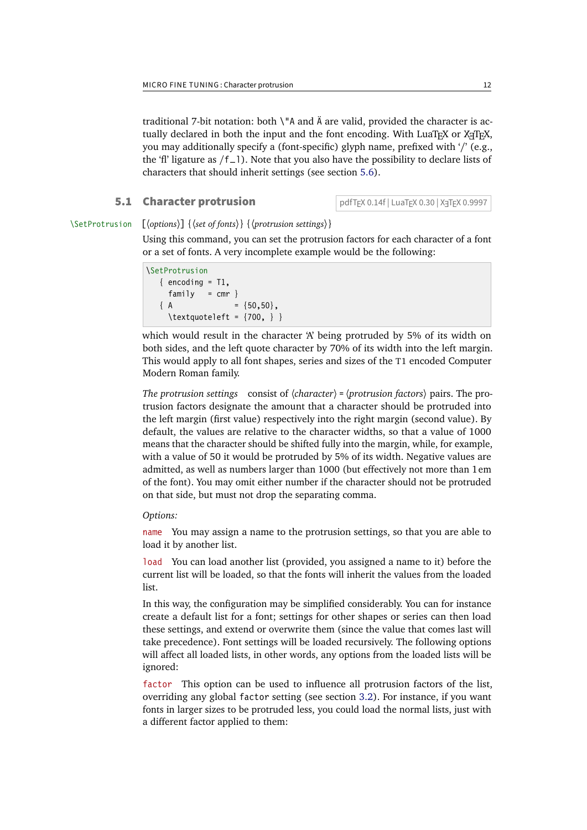<span id="page-11-2"></span>traditional 7-bit notation: both \"A and Ä are valid, provided the character is actually declared in both the input and the font encoding. With LuaT<sub>E</sub>X or X<sub>T</sub>T<sub>E</sub>X, you may additionally specify a (font-specific) glyph name, prefixed with '/' (e.g., the 'fl' ligature as  $/f_1$ ). Note that you also have the possibility to declare lists of characters that should inherit settings (see section [5.6\)](#page-18-0).

## <span id="page-11-0"></span>**5.1 Character protrusion** pdfT<sub>E</sub>X 0.14f | LuaT<sub>E</sub>X 0.30 | X<sub>T</sub>T<sub>E</sub>X 0.9997

## \SetProtrusion [〈*options*〉] {〈*set of fonts*〉} {〈*protrusion settings*〉}

Using this command, you can set the protrusion factors for each character of a font or a set of fonts. A very incomplete example would be the following:

## \SetProtrusion  $\{$  encoding =  $T1$ , family =  $cmr$  }  ${ A = {50,50} }$  $\text{textquoteleft} = \{700, \}$

which would result in the character 'A' being protruded by 5% of its width on both sides, and the left quote character by 70% of its width into the left margin. This would apply to all font shapes, series and sizes of the T1 encoded Computer Modern Roman family.

*The protrusion settings* consist of  $\langle character \rangle = \langle protrusion factors \rangle$  pairs. The protrusion factors designate the amount that a character should be protruded into the left margin (first value) respectively into the right margin (second value). By default, the values are relative to the character widths, so that a value of 1000 means that the character should be shifted fully into the margin, while, for example, with a value of 50 it would be protruded by 5% of its width. Negative values are admitted, as well as numbers larger than 1000 (but effectively not more than 1em of the font). You may omit either number if the character should not be protruded on that side, but must not drop the separating comma.

### <span id="page-11-1"></span>*Options:*

name You may assign a name to the protrusion settings, so that you are able to load it by another list.

load You can load another list (provided, you assigned a name to it) before the current list will be loaded, so that the fonts will inherit the values from the loaded list.

In this way, the configuration may be simplified considerably. You can for instance create a default list for a font; settings for other shapes or series can then load these settings, and extend or overwrite them (since the value that comes last will take precedence). Font settings will be loaded recursively. The following options will affect all loaded lists, in other words, any options from the loaded lists will be ignored:

factor This option can be used to influence all protrusion factors of the list, overriding any global factor setting (see section [3.2\)](#page-5-0). For instance, if you want fonts in larger sizes to be protruded less, you could load the normal lists, just with a different factor applied to them: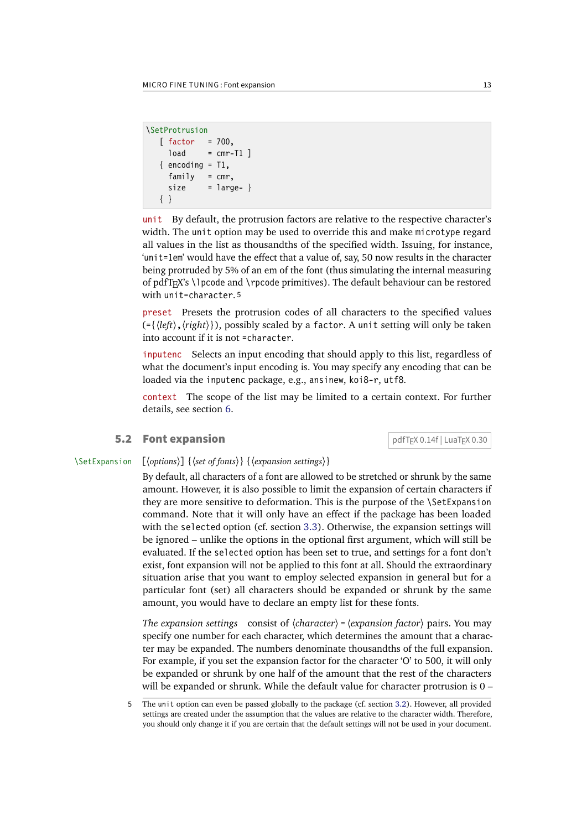```
\SetProtrusion
    \begin{bmatrix} \text{factor} \\ \text{factor} \end{bmatrix} = 700,
       load = cmr-T1]
    \{ encoding = T1,
       family = cmr,
       size = large - } { }
```
unit By default, the protrusion factors are relative to the respective character's width. The unit option may be used to override this and make microtype regard all values in the list as thousandths of the specified width. Issuing, for instance, 'unit=1em' would have the effect that a value of, say, 50 now results in the character being protruded by 5% of an em of the font (thus simulating the internal measuring of pdfT<sub>F</sub>X's \lpcode and \rpcode primitives). The default behaviour can be restored with unit=character. 5

preset Presets the protrusion codes of all characters to the specified values  $(\exists \langle left \rangle, \langle right \rangle)$ , possibly scaled by a factor. A unit setting will only be taken into account if it is not =character.

inputenc Selects an input encoding that should apply to this list, regardless of what the document's input encoding is. You may specify any encoding that can be loaded via the inputenc package, e.g., ansinew, koi8-r, utf8.

context The scope of the list may be limited to a certain context. For further details, see section [6.](#page-20-0)

## <span id="page-12-0"></span>**5.2 Font expansion** pdfT<sub>E</sub>X 0.14f | LuaT<sub>E</sub>X 0.30

## \SetExpansion [〈*options*〉] {〈*set of fonts*〉} {〈*expansion settings*〉}

By default, all characters of a font are allowed to be stretched or shrunk by the same amount. However, it is also possible to limit the expansion of certain characters if they are more sensitive to deformation. This is the purpose of the \SetExpansion command. Note that it will only have an effect if the package has been loaded with the selected option (cf. section [3.3\)](#page-6-0). Otherwise, the expansion settings will be ignored – unlike the options in the optional first argument, which will still be evaluated. If the selected option has been set to true, and settings for a font don't exist, font expansion will not be applied to this font at all. Should the extraordinary situation arise that you want to employ selected expansion in general but for a particular font (set) all characters should be expanded or shrunk by the same amount, you would have to declare an empty list for these fonts.

*The expansion settings* consist of  $\langle character \rangle = \langle expansion factor \rangle$  pairs. You may specify one number for each character, which determines the amount that a character may be expanded. The numbers denominate thousandths of the full expansion. For example, if you set the expansion factor for the character 'O' to 500, it will only be expanded or shrunk by one half of the amount that the rest of the characters will be expanded or shrunk. While the default value for character protrusion is 0 –

<sup>5</sup> The unit option can even be passed globally to the package (cf. section [3.2\)](#page-5-0). However, all provided settings are created under the assumption that the values are relative to the character width. Therefore, you should only change it if you are certain that the default settings will not be used in your document.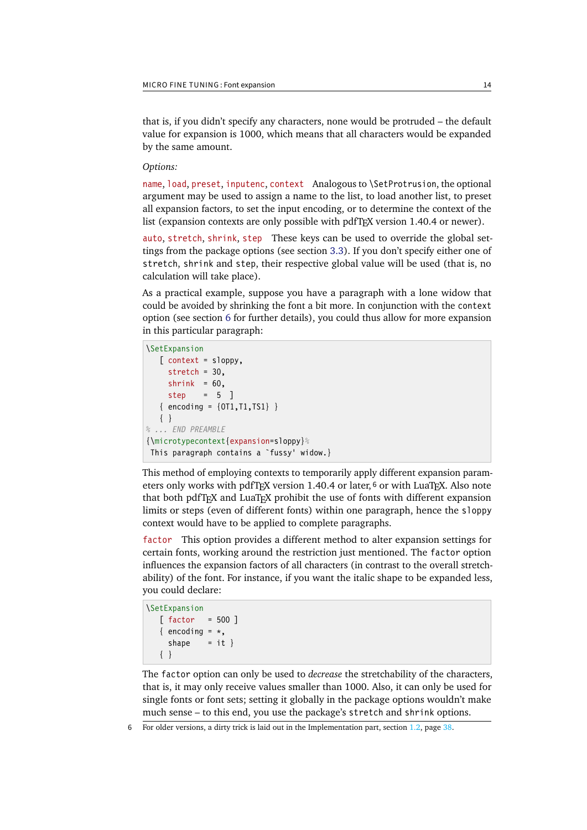<span id="page-13-0"></span>that is, if you didn't specify any characters, none would be protruded – the default value for expansion is 1000, which means that all characters would be expanded by the same amount.

## *Options:*

name, load, preset, inputenc, context Analogous to \SetProtrusion, the optional argument may be used to assign a name to the list, to load another list, to preset all expansion factors, to set the input encoding, or to determine the context of the list (expansion contexts are only possible with pdfT<sub>F</sub>X version 1.40.4 or newer).

auto, stretch, shrink, step These keys can be used to override the global settings from the package options (see section [3.3\)](#page-6-0). If you don't specify either one of stretch, shrink and step, their respective global value will be used (that is, no calculation will take place).

As a practical example, suppose you have a paragraph with a lone widow that could be avoided by shrinking the font a bit more. In conjunction with the context option (see section [6](#page-20-0) for further details), you could thus allow for more expansion in this particular paragraph:

```
\SetExpansion
    [ context = sloppy,
      stretch = 30,
     shrink = 60,
     step = 5 ]
   \{ encoding = \{0T1, T1, TS1\} }
    { }
% ... END PREAMBLE
{\microtypecontext{expansion=sloppy}%
 This paragraph contains a `fussy' widow.}
```
This method of employing contexts to temporarily apply different expansion parameters only works with pdfTFX version 1.40.4 or later, 6 or with LuaTFX. Also note that both pdfT<sub>F</sub>X and LuaT<sub>F</sub>X prohibit the use of fonts with different expansion limits or steps (even of different fonts) within one paragraph, hence the sloppy context would have to be applied to complete paragraphs.

factor This option provides a different method to alter expansion settings for certain fonts, working around the restriction just mentioned. The factor option influences the expansion factors of all characters (in contrast to the overall stretchability) of the font. For instance, if you want the italic shape to be expanded less, you could declare:

```
\SetExpansion
    [ factor = 500 ]
   \{ encoding = \star,
     shape = it }
    { }
```
The factor option can only be used to *decrease* the stretchability of the characters, that is, it may only receive values smaller than 1000. Also, it can only be used for single fonts or font sets; setting it globally in the package options wouldn't make much sense – to this end, you use the package's stretch and shrink options.

6 For older versions, a dirty trick is laid out in the Implementation part, section 1.2, page [38.](#page-11-1)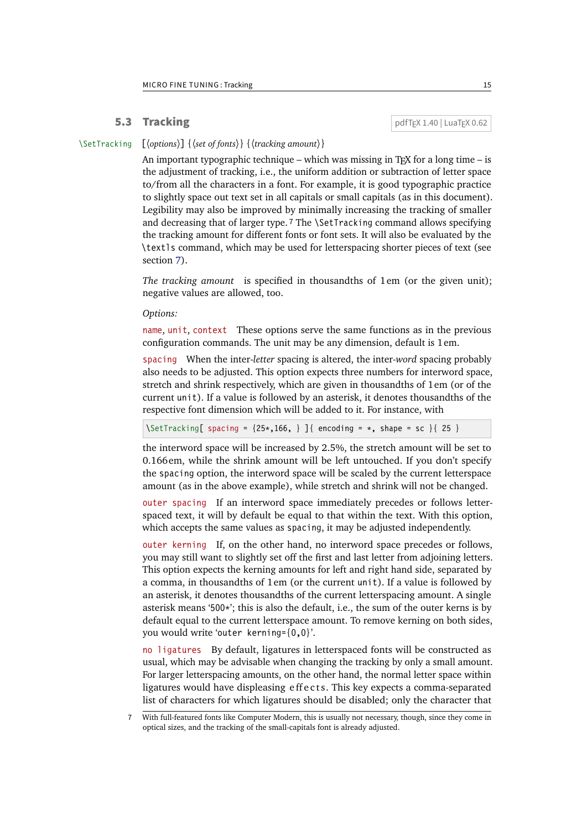<span id="page-14-1"></span><span id="page-14-0"></span>**5.3 Tracking pdfTEX 1.40 | LuaTEX 0.62** 

### \SetTracking [〈*options*〉] {〈*set of fonts*〉} {〈*tracking amount*〉}

An important typographic technique – which was missing in T<sub>E</sub>X for a long time – is the adjustment of tracking, i.e., the uniform addition or subtraction of letter space to/from all the characters in a font. For example, it is good typographic practice to slightly space out text set in all capitals or small capitals (as in this document). Legibility may also be improved by minimally increasing the tracking of smaller and decreasing that of larger type. 7 The \SetTracking command allows specifying the tracking amount for different fonts or font sets. It will also be evaluated by the \textls command, which may be used for letterspacing shorter pieces of text (see section [7\)](#page-22-0).

*The tracking amount* is specified in thousandths of 1em (or the given unit); negative values are allowed, too.

*Options:*

name, unit, context These options serve the same functions as in the previous configuration commands. The unit may be any dimension, default is 1em.

spacing When the inter-*letter* spacing is altered, the inter-*word* spacing probably also needs to be adjusted. This option expects three numbers for interword space, stretch and shrink respectively, which are given in thousandths of 1em (or of the current unit). If a value is followed by an asterisk, it denotes thousandths of the respective font dimension which will be added to it. For instance, with

 $\Set{Setting [ spacing = {25*,166, } }{ \text{ encoding = *, shape = sc } }$  25 }

the interword space will be increased by 2.5%, the stretch amount will be set to 0.166em, while the shrink amount will be left untouched. If you don't specify the spacing option, the interword space will be scaled by the current letterspace amount (as in the above example), while stretch and shrink will not be changed.

outer spacing If an interword space immediately precedes or follows letterspaced text, it will by default be equal to that within the text. With this option, which accepts the same values as spacing, it may be adjusted independently.

outer kerning If, on the other hand, no interword space precedes or follows, you may still want to slightly set off the first and last letter from adjoining letters. This option expects the kerning amounts for left and right hand side, separated by a comma, in thousandths of 1em (or the current unit). If a value is followed by an asterisk, it denotes thousandths of the current letterspacing amount. A single asterisk means '500\*'; this is also the default, i.e., the sum of the outer kerns is by default equal to the current letterspace amount. To remove kerning on both sides, you would write 'outer kerning={0,0}'.

no ligatures By default, ligatures in letterspaced fonts will be constructed as usual, which may be advisable when changing the tracking by only a small amount. For larger letterspacing amounts, on the other hand, the normal letter space within ligatures would have displeasing e ff e c t s. This key expects a comma-separated list of characters for which ligatures should be disabled; only the character that

<sup>7</sup> With full-featured fonts like Computer Modern, this is usually not necessary, though, since they come in optical sizes, and the tracking of the small-capitals font is already adjusted.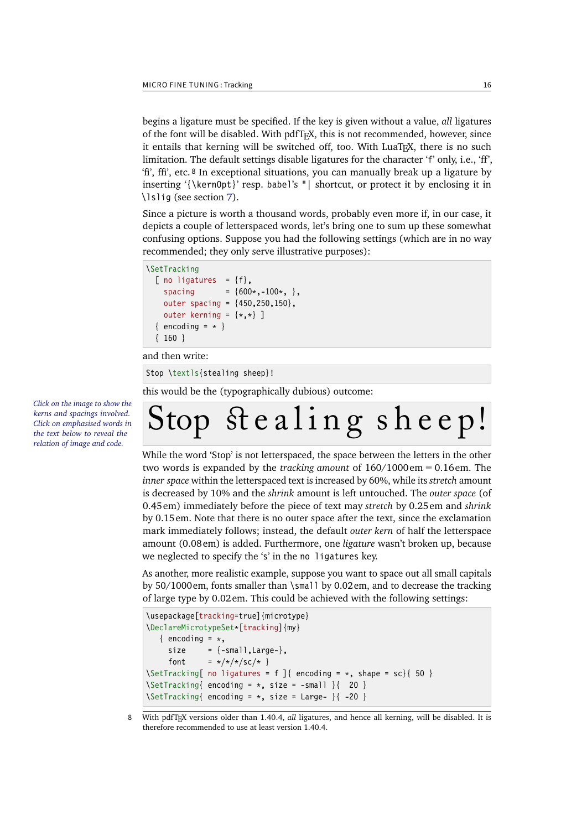<span id="page-15-0"></span>begins a ligature must be specified. If the key is given without a value, *all* ligatures of the font will be disabled. With pdfTeX , this is not recommended, however, since it entails that kerning will be switched off, too. With LuaTeX , there is no such limitation. The default settings disable ligatures for the character 'f' only, i.e., 'ff', 'fi', ffi', etc. 8 In exceptional situations, you can manually break up a ligature by inserting '{\kern0pt}' resp. babel's "| shortcut, or protect it by enclosing it in \lslig (see section [7\)](#page-22-0).

Since a picture is worth a thousand words, probably even more if, in our case, it depicts a couple of letterspaced words, let's bring one to sum up these somewhat confusing options. Suppose you had the following settings (which are in no way recommended; they only serve illustrative purposes):

```
\SetTracking
  [ no ligatures = \{f\},
    spacing = {600*, -100*,},
     outer spacing = {450,250,150},
    outer kerning = \{*,*\} ]
  \{ encoding = \star \} { 160 }
```
and then write:

Stop \textls{stealing sheep}!

this would be the (typographically dubious) outcome:

*Click on the image to show the If you had a PDF viewer that kerns and spacings involved. understands PDF 1.5, you Click on emphasised words in could hide the arrows selec*the text below to reveal the *relation of image and code.*

```
Stop stealing sheep!
```
While the word 'Stop' is not letterspaced, the space between the letters in the other two words is expanded by the *tracking amount* of 160/1000em = 0.16em. The *inner space* within the letterspaced text is increased by 60%, while its *stretch* amount is decreased by 10% and the *shrink* amount is left untouched. The *outer space* (of 0.45em) immediately before the piece of text may *stretch* by 0.25em and *shrink* by 0.15em. Note that there is no outer space after the text, since the exclamation mark immediately follows; instead, the default *outer kern* of half the letterspace amount (0.08em) is added. Furthermore, one *ligature* wasn't broken up, because we neglected to specify the 's' in the no ligatures key.

As another, more realistic example, suppose you want to space out all small capitals by 50/1000em, fonts smaller than \small by 0.02em, and to decrease the tracking of large type by 0.02em. This could be achieved with the following settings:

```
\usepackage[tracking=true]{microtype}
\DeclareMicrotypeSet*[tracking]{my}
   \{ encoding = \star,
     size = {-small, Large-},
     font = \frac{x}{x} + \frac{x}{x} 5c/\frac{x}{x} }
\SetTracking[ no ligatures = f ]{ encoding = \star, shape = sc}{ 50 }
\Set{Setting} encoding = *, size = -small } 20 }
\SetTracking{ encoding = *, size = Large- }{ -20 }
```
8 With pdfTeX versions older than 1.40.4, *all* ligatures, and hence all kerning, will be disabled. It is therefore recommended to use at least version 1.40.4.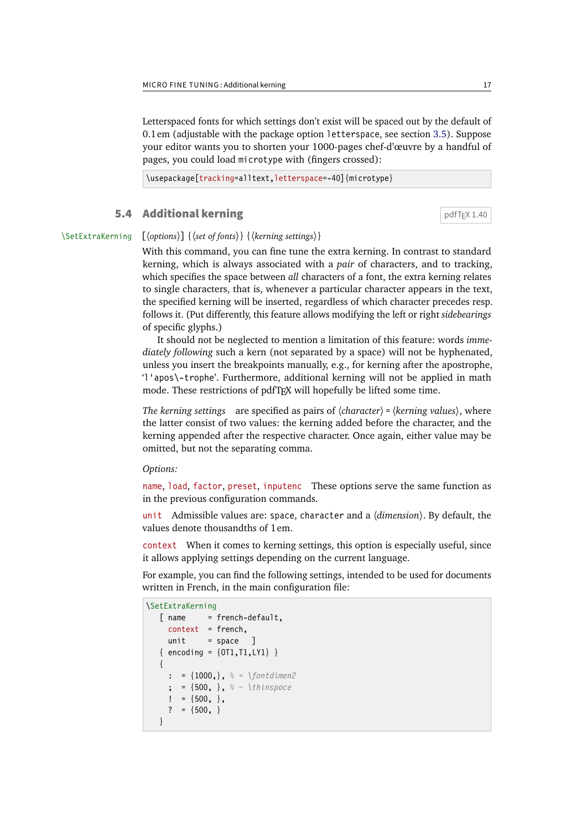<span id="page-16-1"></span>Letterspaced fonts for which settings don't exist will be spaced out by the default of 0.1em (adjustable with the package option letterspace, see section [3.5\)](#page-7-1). Suppose your editor wants you to shorten your 1000-pages chef-d'œuvre by a handful of pages, you could load microtype with (fingers crossed):

\usepackage[tracking=alltext,letterspace=-40]{microtype}

## <span id="page-16-0"></span>**5.4 Additional kerning direction of**  $pdfTx 1.40$

\SetExtraKerning [〈*options*〉] {〈*set of fonts*〉} {〈*kerning settings*〉}

With this command, you can fine tune the extra kerning. In contrast to standard kerning, which is always associated with a *pair* of characters, and to tracking, which specifies the space between *all* characters of a font, the extra kerning relates to single characters, that is, whenever a particular character appears in the text, the specified kerning will be inserted, regardless of which character precedes resp. follows it. (Put differently, this feature allows modifying the left or right *sidebearings* of specific glyphs.)

It should not be neglected to mention a limitation of this feature: words *immediately following* such a kern (not separated by a space) will not be hyphenated, unless you insert the breakpoints manually, e.g., for kerning after the apostrophe, 'l'apos\-trophe'. Furthermore, additional kerning will not be applied in math mode. These restrictions of pdfTeX will hopefully be lifted some time.

*The kerning settings* are specified as pairs of  $\langle character \rangle = \langle kerning \ values \rangle$ , where the latter consist of two values: the kerning added before the character, and the kerning appended after the respective character. Once again, either value may be omitted, but not the separating comma.

*Options:*

name, load, factor, preset, inputenc These options serve the same function as in the previous configuration commands.

unit Admissible values are: space, character and a  $\langle$  dimension $\rangle$ . By default, the values denote thousandths of 1em.

context When it comes to kerning settings, this option is especially useful, since it allows applying settings depending on the current language.

For example, you can find the following settings, intended to be used for documents written in French, in the main configuration file:

```
\SetExtraKerning
  [ name = french-default,
     context = french,
     unit = space ]
   \{ encoding = \{0T1, T1, LY1\} }
    {
     : = \{1000, \}, \frac{6}{5} = \{fontdimen2\} ; = {500, }, % ~ \thinspace
     ! = \{500, \},
     ? = \{500, \} }
```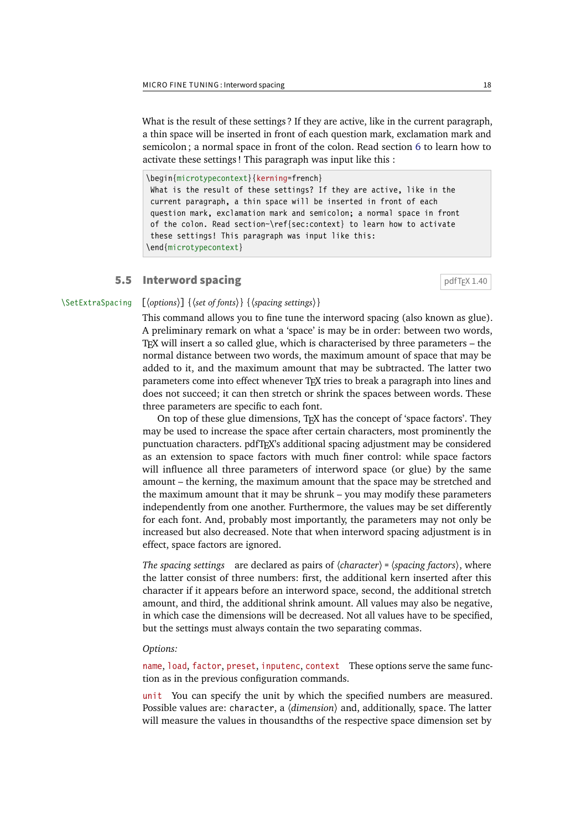<span id="page-17-1"></span>What is the result of these settings ? If they are active, like in the current paragraph, a thin space will be inserted in front of each question mark, exclamation mark and semicolon; a normal space in front of the colon. Read section [6](#page-20-0) to learn how to activate these settings ! This paragraph was input like this :

\begin{microtypecontext}{kerning=french} What is the result of these settings? If they are active, like in the current paragraph, a thin space will be inserted in front of each question mark, exclamation mark and semicolon; a normal space in front of the colon. Read section~\ref{sec:context} to learn how to activate these settings! This paragraph was input like this: \end{microtypecontext}

## <span id="page-17-0"></span>**5.5 Interword spacing**  $\qquad \qquad$  **pdfTEX 1.40**

## \SetExtraSpacing [〈*options*〉] {〈*set of fonts*〉} {〈*spacing settings*〉}

This command allows you to fine tune the interword spacing (also known as glue). A preliminary remark on what a 'space' is may be in order: between two words, TeX will insert a so called glue, which is characterised by three parameters – the normal distance between two words, the maximum amount of space that may be added to it, and the maximum amount that may be subtracted. The latter two parameters come into effect whenever TeX tries to break a paragraph into lines and does not succeed; it can then stretch or shrink the spaces between words. These three parameters are specific to each font.

On top of these glue dimensions, TeX has the concept of 'space factors'. They may be used to increase the space after certain characters, most prominently the punctuation characters. pdfT<sub>F</sub>X's additional spacing adjustment may be considered as an extension to space factors with much finer control: while space factors will influence all three parameters of interword space (or glue) by the same amount – the kerning, the maximum amount that the space may be stretched and the maximum amount that it may be shrunk – you may modify these parameters independently from one another. Furthermore, the values may be set differently for each font. And, probably most importantly, the parameters may not only be increased but also decreased. Note that when interword spacing adjustment is in effect, space factors are ignored.

*The spacing settings* are declared as pairs of  $\langle character \rangle = \langle spacing factors \rangle$ , where the latter consist of three numbers: first, the additional kern inserted after this character if it appears before an interword space, second, the additional stretch amount, and third, the additional shrink amount. All values may also be negative, in which case the dimensions will be decreased. Not all values have to be specified, but the settings must always contain the two separating commas.

### *Options:*

name, load, factor, preset, inputenc, context These options serve the same function as in the previous configuration commands.

unit You can specify the unit by which the specified numbers are measured. Possible values are: character, a  $\langle$  dimension $\rangle$  and, additionally, space. The latter will measure the values in thousandths of the respective space dimension set by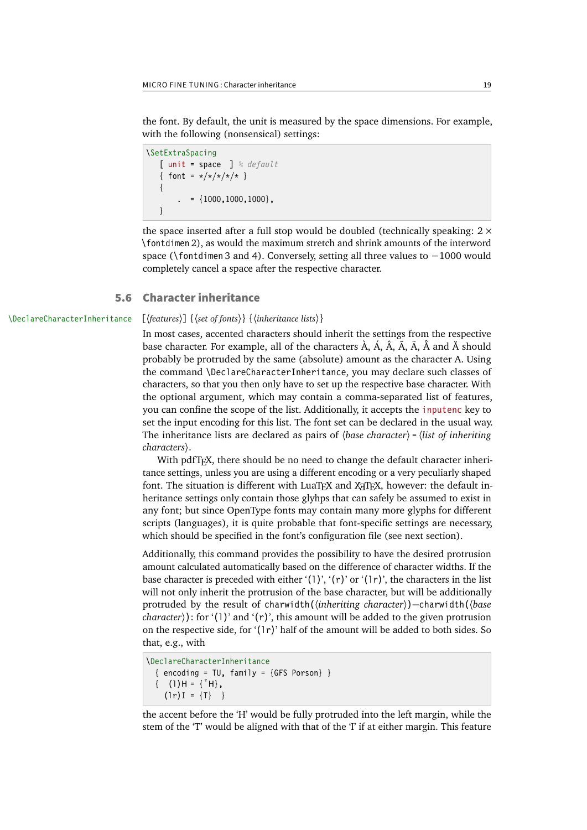<span id="page-18-1"></span>the font. By default, the unit is measured by the space dimensions. For example, with the following (nonsensical) settings:

```
\SetExtraSpacing
    [ unit = space ] % default
   { font = \sqrt{x}/\sqrt{x}/x }
    {
           = \{1000, 1000, 1000\},\ }
```
the space inserted after a full stop would be doubled (technically speaking:  $2 \times$ \fontdimen 2), as would the maximum stretch and shrink amounts of the interword space (\fontdimen 3 and 4). Conversely, setting all three values to −1000 would completely cancel a space after the respective character.

## <span id="page-18-0"></span>5.6 Character inheritance

## \DeclareCharacterInheritance [〈*features*〉] {〈*set of fonts*〉} {〈*inheritance lists*〉}

In most cases, accented characters should inherit the settings from the respective base character. For example, all of the characters  $\hat{A}$ ,  $\hat{A}$ ,  $\hat{A}$ ,  $\hat{A}$ ,  $\hat{A}$ ,  $\hat{A}$  and  $\hat{A}$  should probably be protruded by the same (absolute) amount as the character A. Using the command \DeclareCharacterInheritance, you may declare such classes of characters, so that you then only have to set up the respective base character. With the optional argument, which may contain a comma-separated list of features, you can confine the scope of the list. Additionally, it accepts the inputenc key to set the input encoding for this list. The font set can be declared in the usual way. The inheritance lists are declared as pairs of  $\langle base\ character \rangle = \langle list\ of\ inheriting\rangle$ characters).

With pdfT<sub>F</sub>X, there should be no need to change the default character inheritance settings, unless you are using a different encoding or a very peculiarly shaped font. The situation is different with LuaTFX and X $\frac{1}{T}$ K, however: the default inheritance settings only contain those glyhps that can safely be assumed to exist in any font; but since OpenType fonts may contain many more glyphs for different scripts (languages), it is quite probable that font-specific settings are necessary, which should be specified in the font's configuration file (see next section).

Additionally, this command provides the possibility to have the desired protrusion amount calculated automatically based on the difference of character widths. If the base character is preceded with either '(1)', '(r)' or '(1r)', the characters in the list will not only inherit the protrusion of the base character, but will be additionally protruded by the result of charwidth(\inheriting character))–charwidth(\base *character* $\rangle$ : for '(1)' and '(r)', this amount will be added to the given protrusion on the respective side, for ' $(1r)$ ' half of the amount will be added to both sides. So that, e.g., with

```
\DeclareCharacterInheritance
  \{ encoding = TU, family = \{ GFS Porson\} \}\{ (1)H = {\lceil^* H \rceil},(\ln I) = {\Pi} }
```
the accent before the 'H' would be fully protruded into the left margin, while the stem of the 'T' would be aligned with that of the 'I' if at either margin. This feature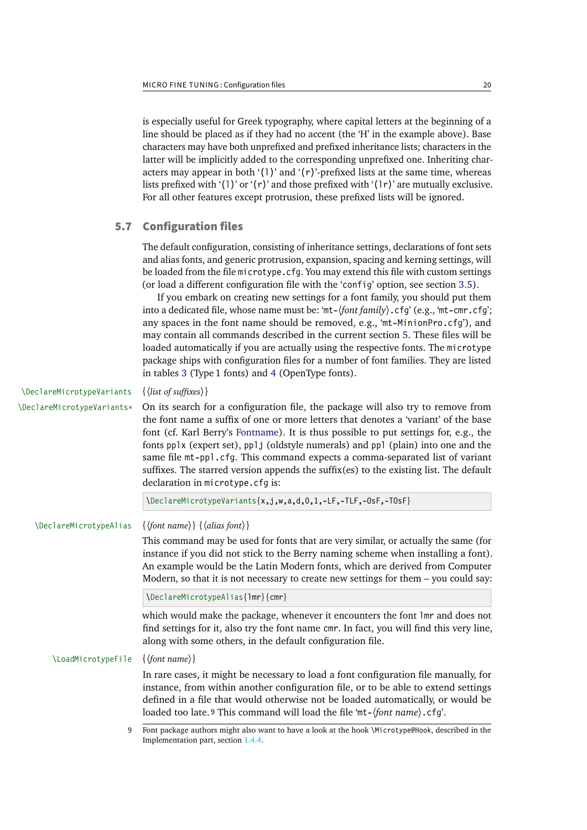<span id="page-19-1"></span>is especially useful for Greek typography, where capital letters at the beginning of a line should be placed as if they had no accent (the 'H' in the example above). Base characters may have both unprefixed and prefixed inheritance lists; characters in the latter will be implicitly added to the corresponding unprefixed one. Inheriting characters may appear in both '(1)' and '( $r$ )'-prefixed lists at the same time, whereas lists prefixed with '(1)' or '(r)' and those prefixed with '(1r)' are mutually exclusive. For all other features except protrusion, these prefixed lists will be ignored.

## 5.7 Configuration files

<span id="page-19-0"></span>The default configuration, consisting of inheritance settings, declarations of font sets and alias fonts, and generic protrusion, expansion, spacing and kerning settings, will be loaded from the file microtype.cfg. You may extend this file with custom settings (or load a different configuration file with the 'config' option, see section [3.5\)](#page-7-1).

If you embark on creating new settings for a font family, you should put them into a dedicated file, whose name must be: 'mt- $\{font family\}$ .cfq' (e.g., 'mt-cmr.cfq'; any spaces in the font name should be removed, e.g., 'mt-MinionPro.cfg'), and may contain all commands described in the current section [5.](#page-10-0) These files will be loaded automatically if you are actually using the respective fonts. The microtype package ships with configuration files for a number of font families. They are listed in tables [3](#page-20-1) (Type 1 fonts) and [4](#page-21-0) (OpenType fonts).

\DeclareMicrotypeVariants {〈*list of suffixes*〉}

\DeclareMicrotypeVariants\* On its search for a configuration file, the package will also try to remove from the font name a suffix of one or more letters that denotes a 'variant' of the base font (cf. Karl Berry's [Fontname\)](#page-30-4). It is thus possible to put settings for, e.g., the fonts pplx (expert set), pplj (oldstyle numerals) and ppl (plain) into one and the same file mt-ppl.cfg. This command expects a comma-separated list of variant suffixes. The starred version appends the suffix $(es)$  to the existing list. The default declaration in microtype.cfg is:

\DeclareMicrotypeVariants{x,j,w,a,d,0,1,-LF,-TLF,-OsF,-TOsF}

\DeclareMicrotypeAlias {〈*font name*〉} {〈*alias font*〉}

This command may be used for fonts that are very similar, or actually the same (for instance if you did not stick to the Berry naming scheme when installing a font). An example would be the Latin Modern fonts, which are derived from Computer Modern, so that it is not necessary to create new settings for them – you could say:

\DeclareMicrotypeAlias{lmr}{cmr}

which would make the package, whenever it encounters the font lmr and does not find settings for it, also try the font name cmr. In fact, you will find this very line, along with some others, in the default configuration file.

### \LoadMicrotypeFile {〈*font name*〉}

In rare cases, it might be necessary to load a font configuration file manually, for instance, from within another configuration file, or to be able to extend settings defined in a file that would otherwise not be loaded automatically, or would be loaded too late. <sup>9</sup> This command will load the file 'mt-(font name). cfg'.

<sup>9</sup> Font package authors might also want to have a look at the hook \Microtype@Hook, described in the Implementation part, section 1.4.4.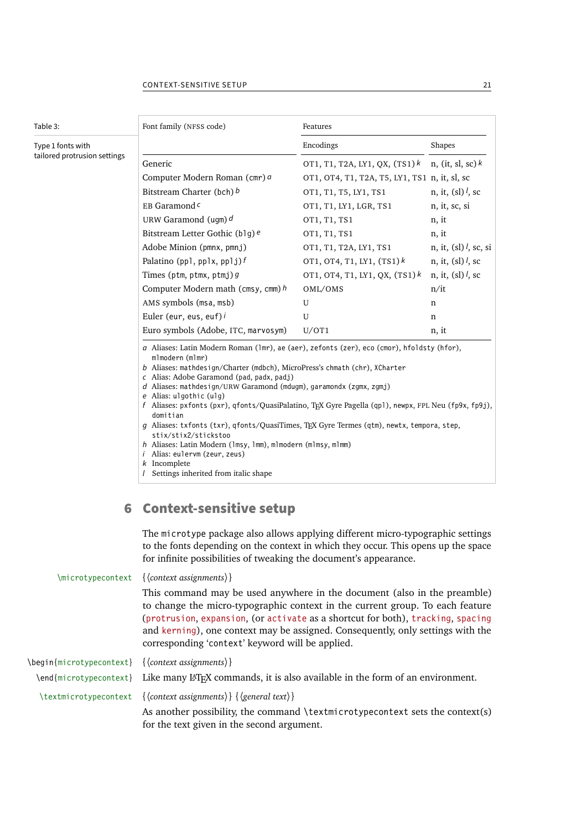<span id="page-20-2"></span><span id="page-20-1"></span>

| Table 3:                     | Font family (NFSS code)                                                                                                                                                                                                                                                                                                                                                                                                                                                                                                                                                                                                                                                                                                                             | Features                                      |                                            |  |
|------------------------------|-----------------------------------------------------------------------------------------------------------------------------------------------------------------------------------------------------------------------------------------------------------------------------------------------------------------------------------------------------------------------------------------------------------------------------------------------------------------------------------------------------------------------------------------------------------------------------------------------------------------------------------------------------------------------------------------------------------------------------------------------------|-----------------------------------------------|--------------------------------------------|--|
| Type 1 fonts with            |                                                                                                                                                                                                                                                                                                                                                                                                                                                                                                                                                                                                                                                                                                                                                     | Encodings                                     | Shapes                                     |  |
| tailored protrusion settings | Generic                                                                                                                                                                                                                                                                                                                                                                                                                                                                                                                                                                                                                                                                                                                                             | OT1, T1, T2A, LY1, QX, $(TS1)$ <sup>k</sup>   | n, (it, sl, sc) $k$                        |  |
|                              | Computer Modern Roman (cmr) a                                                                                                                                                                                                                                                                                                                                                                                                                                                                                                                                                                                                                                                                                                                       | OT1, OT4, T1, T2A, T5, LY1, TS1 n, it, sl, sc |                                            |  |
|                              | Bitstream Charter (bch) b                                                                                                                                                                                                                                                                                                                                                                                                                                                                                                                                                                                                                                                                                                                           | OT1, T1, T5, LY1, TS1                         | n, it, (sl) $l$ , sc                       |  |
|                              | EB Garamond <sup>c</sup>                                                                                                                                                                                                                                                                                                                                                                                                                                                                                                                                                                                                                                                                                                                            | OT1, T1, LY1, LGR, TS1                        | n, it, sc, si                              |  |
|                              | URW Garamond (ugm) $d$                                                                                                                                                                                                                                                                                                                                                                                                                                                                                                                                                                                                                                                                                                                              | OT1, T1, TS1                                  | n, it                                      |  |
|                              | Bitstream Letter Gothic (b1g) e                                                                                                                                                                                                                                                                                                                                                                                                                                                                                                                                                                                                                                                                                                                     | OT1, T1, TS1                                  | n, it                                      |  |
|                              | Adobe Minion (pmnx, pmnj)                                                                                                                                                                                                                                                                                                                                                                                                                                                                                                                                                                                                                                                                                                                           | OT1, T1, T2A, LY1, TS1                        | n, it, $\left(\frac{s}{s}\right)$ , sc, si |  |
|                              | Palatino (pp1, pp1x, pp1j) $f$                                                                                                                                                                                                                                                                                                                                                                                                                                                                                                                                                                                                                                                                                                                      | OT1, OT4, T1, LY1, $(TS1)^k$                  | n, it, (sl) $l$ , sc                       |  |
|                              | Times (ptm, ptmx, ptmj) $g$                                                                                                                                                                                                                                                                                                                                                                                                                                                                                                                                                                                                                                                                                                                         | OT1, OT4, T1, LY1, QX, $(TS1)^k$              | n, it, (sl) $l$ , sc                       |  |
|                              | Computer Modern math (cmsy, cmm) $h$                                                                                                                                                                                                                                                                                                                                                                                                                                                                                                                                                                                                                                                                                                                | OML/OMS                                       | n/it                                       |  |
|                              | AMS symbols (msa, msb)                                                                                                                                                                                                                                                                                                                                                                                                                                                                                                                                                                                                                                                                                                                              | U                                             | n                                          |  |
|                              | Euler (eur, eus, euf) i                                                                                                                                                                                                                                                                                                                                                                                                                                                                                                                                                                                                                                                                                                                             | U                                             | $\mathbf n$                                |  |
|                              | Euro symbols (Adobe, ITC, marvosym)                                                                                                                                                                                                                                                                                                                                                                                                                                                                                                                                                                                                                                                                                                                 | U/OT1                                         | n, it                                      |  |
|                              | a Aliases: Latin Modern Roman (1mr), ae (aer), zefonts (zer), eco (cmor), hfoldsty (hfor),<br>mlmodern (mlmr)<br>b Aliases: mathdesign/Charter (mdbch), MicroPress's chmath (chr), XCharter<br>c Alias: Adobe Garamond (pad, padx, padj)<br>d Aliases: mathdesign/URW Garamond (mdugm), garamondx (zgmx, zgmj)<br>e Alias: ulgothic (ulg)<br>f Aliases: pxfonts (pxr), qfonts/QuasiPalatino, TFX Gyre Pagella (qp1), newpx, FPL Neu (fp9x, fp9j),<br>domitian<br>g Aliases: txfonts (txr), qfonts/QuasiTimes, TEX Gyre Termes (qtm), newtx, tempora, step,<br>stix/stix2/stickstoo<br>h Aliases: Latin Modern (1msy, 1mm), m1modern (m1msy, m1mm)<br><i>i</i> Alias: eulervm (zeur, zeus)<br>$k$ Incomplete<br>Settings inherited from italic shape |                                               |                                            |  |

<span id="page-20-0"></span>The microtype package also allows applying different micro-typographic settings to the fonts depending on the context in which they occur. This opens up the space for infinite possibilities of tweaking the document's appearance.

\microtypecontext {〈*context assignments*〉} This command may be used anywhere in the document (also in the preamble) to change the micro-typographic context in the current group. To each feature (protrusion, expansion, (or activate as a shortcut for both), tracking, spacing and kerning), one context may be assigned. Consequently, only settings with the corresponding 'context' keyword will be applied. \begin{microtypecontext} {〈*context assignments*〉}  $\end{math}$  like many L<sup>E</sup>T<sub>EX</sub> commands, it is also available in the form of an environment. \textmicrotypecontext {〈*context assignments*〉} {〈*general text*〉} As another possibility, the command \textmicrotypecontext sets the context(s) for the text given in the second argument.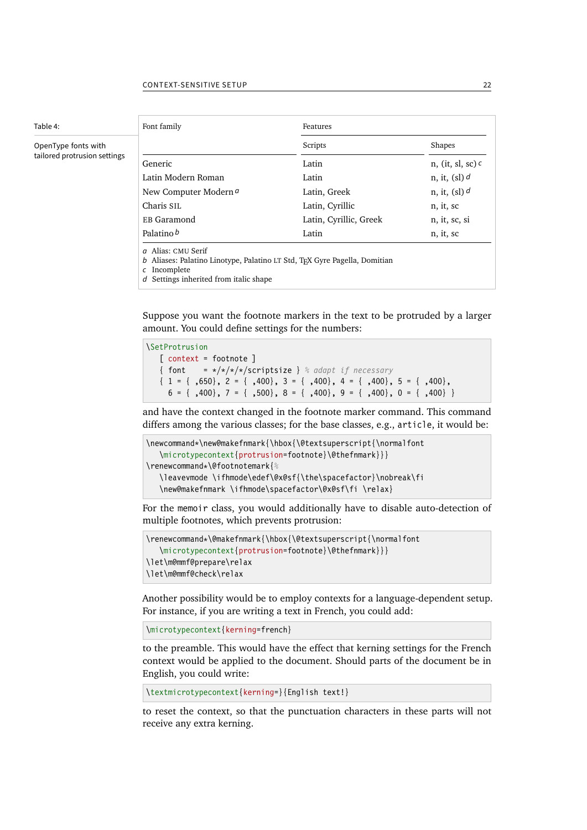# Table 4:

### <span id="page-21-0"></span>OpenType fonts with tailored protrusion settings

<span id="page-21-1"></span>

| Font family                                                                                                                                               | Features               |                                    |  |  |  |
|-----------------------------------------------------------------------------------------------------------------------------------------------------------|------------------------|------------------------------------|--|--|--|
|                                                                                                                                                           | Scripts                | Shapes                             |  |  |  |
| Generic                                                                                                                                                   | Latin                  | n, (it, sl, sc) $\epsilon$         |  |  |  |
| Latin Modern Roman                                                                                                                                        | Latin                  | n, it, $\left(\frac{s}{s}\right)d$ |  |  |  |
| New Computer Modern a                                                                                                                                     | Latin, Greek           | n, it, $\left(\frac{s}{s}\right)d$ |  |  |  |
| Charis SIL                                                                                                                                                | Latin, Cyrillic        | n, it, sc                          |  |  |  |
| EB Garamond                                                                                                                                               | Latin, Cyrillic, Greek | n, it, sc, si<br>n, it, sc         |  |  |  |
| Palatino b                                                                                                                                                | Latin                  |                                    |  |  |  |
| a Alias: CMU Serif<br>b Aliases: Palatino Linotype, Palatino LT Std, TFX Gyre Pagella, Domitian<br>c Incomplete<br>d Settings inherited from italic shape |                        |                                    |  |  |  |

Suppose you want the footnote markers in the text to be protruded by a larger amount. You could define settings for the numbers:

\SetProtrusion [ context = footnote ] { font  $=*/*/*/s$ criptsize } % *adapt if* necessary  $\{ 1 = \{ ,650 \}, 2 = \{ ,400 \}, 3 = \{ ,400 \}, 4 = \{ ,400 \}, 5 = \{ ,400 \},$  $6 = \{$ , 400 $\}, 7 = \{$ , 500 $\}, 8 = \{$ , 400 $\}, 9 = \{$ , 400 $\}, 0 = \{$ , 400 $\}$ 

and have the context changed in the footnote marker command. This command differs among the various classes; for the base classes, e.g., article, it would be:

```
\newcommand*\new@makefnmark{\hbox{\@textsuperscript{\normalfont
    \microtypecontext{protrusion=footnote}\@thefnmark}}}
\renewcommand*\@footnotemark{%
    \leavevmode \ifhmode\edef\@x@sf{\the\spacefactor}\nobreak\fi
    \new@makefnmark \ifhmode\spacefactor\@x@sf\fi \relax}
```
For the memoir class, you would additionally have to disable auto-detection of multiple footnotes, which prevents protrusion:

```
\renewcommand*\@makefnmark{\hbox{\@textsuperscript{\normalfont
    \microtypecontext{protrusion=footnote}\@thefnmark}}}
\let\m@mmf@prepare\relax
\let\m@mmf@check\relax
```
Another possibility would be to employ contexts for a language-dependent setup. For instance, if you are writing a text in French, you could add:

\microtypecontext{kerning=french}

to the preamble. This would have the effect that kerning settings for the French context would be applied to the document. Should parts of the document be in English, you could write:

\textmicrotypecontext{kerning=}{English text!}

to reset the context, so that the punctuation characters in these parts will not receive any extra kerning.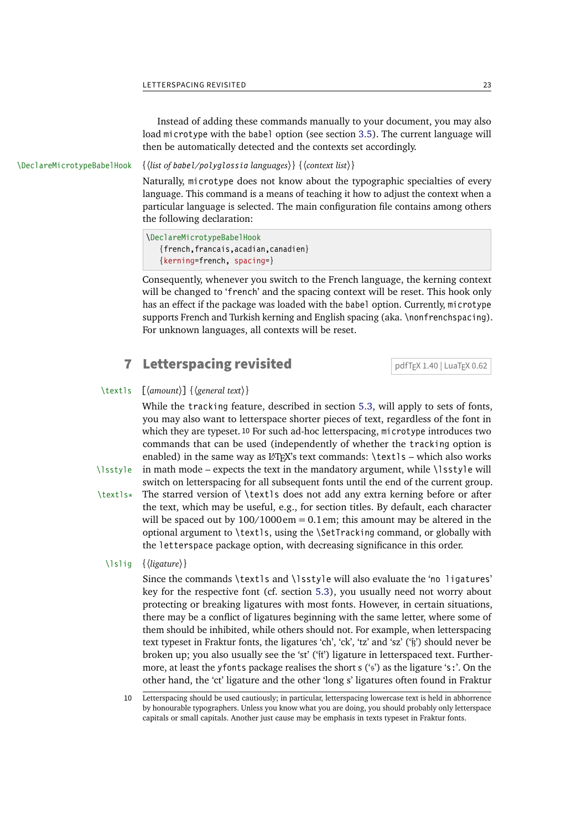<span id="page-22-1"></span>Instead of adding these commands manually to your document, you may also load microtype with the babel option (see section [3.5\)](#page-7-1). The current language will then be automatically detected and the contexts set accordingly.

\DeclareMicrotypeBabelHook {〈*list of babel/polyglossia languages*〉} {〈*context list*〉}

Naturally, microtype does not know about the typographic specialties of every language. This command is a means of teaching it how to adjust the context when a particular language is selected. The main configuration file contains among others the following declaration:

```
\DeclareMicrotypeBabelHook
    {french,francais,acadian,canadien}
    {kerning=french, spacing=}
```
Consequently, whenever you switch to the French language, the kerning context will be changed to 'french' and the spacing context will be reset. This hook only has an effect if the package was loaded with the babel option. Currently, microtype supports French and Turkish kerning and English spacing (aka. \nonfrenchspacing). For unknown languages, all contexts will be reset.

## <span id="page-22-0"></span>**7** Letterspacing revisited  $\sqrt{\frac{pdfTr(X 1.40 | LuaTrX 0.62)}{pdfTrX}}}$

## \textls [〈*amount*〉] {〈*general text*〉}

While the tracking feature, described in section [5.3,](#page-14-0) will apply to sets of fonts, you may also want to letterspace shorter pieces of text, regardless of the font in which they are typeset. 10 For such ad-hoc letterspacing, microtype introduces two commands that can be used (independently of whether the tracking option is enabled) in the same way as LATEX's text commands:  $\text{text1s}$  – which also works \lsstyle in math mode – expects the text in the mandatory argument, while \lsstyle will

switch on letterspacing for all subsequent fonts until the end of the current group. \textls\* The starred version of \textls does not add any extra kerning before or after the text, which may be useful, e.g., for section titles. By default, each character will be spaced out by  $100/1000 \text{ cm} = 0.1 \text{ cm}$ ; this amount may be altered in the optional argument to \textls, using the \SetTracking command, or globally with the letterspace package option, with decreasing significance in this order.

### \lslig {〈*ligature*〉}

Since the commands \textls and \lsstyle will also evaluate the 'no ligatures' key for the respective font (cf. section [5.3\)](#page-14-0), you usually need not worry about protecting or breaking ligatures with most fonts. However, in certain situations, there may be a conflict of ligatures beginning with the same letter, where some of them should be inhibited, while others should not. For example, when letterspacing text typeset in Fraktur fonts, the ligatures 'ch', 'ck', 'tz' and 'sz' ('ß') should never be broken up; you also usually see the 'st' (' $\ddot{\mathbf{r}}$ ') ligature in letterspaced text. Furthermore, at least the yfonts package realises the short s ('s') as the ligature 's:'. On the other hand, the 'ct' ligature and the other 'long s' ligatures often found in Fraktur

<sup>10</sup> Letterspacing should be used cautiously; in particular, letterspacing lowercase text is held in abhorrence by honourable typographers. Unless you know what you are doing, you should probably only letterspace capitals or small capitals. Another just cause may be emphasis in texts typeset in Fraktur fonts.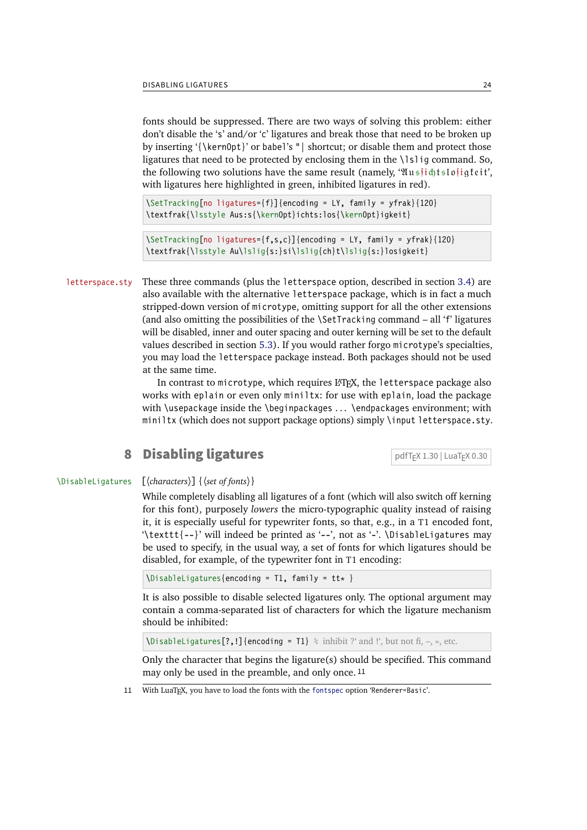<span id="page-23-1"></span>fonts should be suppressed. There are two ways of solving this problem: either don't disable the 's' and/or 'c' ligatures and break those that need to be broken up by inserting '{\kern0pt}' or babel's "| shortcut; or disable them and protect those ligatures that need to be protected by enclosing them in the \lslig command. So, the following two solutions have the same result (namely, ' $\mathfrak{U}$ us it dislofiq feit', with ligatures here highlighted in green, inhibited ligatures in red).

\SetTracking[no ligatures={f}]{encoding = LY, family = yfrak}{120} \textfrak{\lsstyle Aus:s{\kern0pt}ichts:los{\kern0pt}igkeit}

\SetTracking[no ligatures={f,s,c}]{encoding = LY, family = yfrak}{120} \textfrak{\lsstyle Au\lslig{s:}si\lslig{ch}t\lslig{s:}losigkeit}

letterspace.sty These three commands (plus the letterspace option, described in section [3.4\)](#page-7-0) are also available with the alternative letterspace package, which is in fact a much stripped-down version of microtype, omitting support for all the other extensions (and also omitting the possibilities of the \SetTracking command – all 'f' ligatures will be disabled, inner and outer spacing and outer kerning will be set to the default values described in section [5.3\)](#page-14-0). If you would rather forgo microtype's specialties, you may load the letterspace package instead. Both packages should not be used at the same time.

> In contrast to microtype, which requires LATEX, the letterspace package also works with eplain or even only miniltx: for use with eplain, load the package with \usepackage inside the \beginpackages ... \endpackages environment; with miniltx (which does not support package options) simply \input letterspace.sty.

## <span id="page-23-0"></span>**8 Disabling ligatures** pdfTeX 1.30 | LuaTeX 0.30

### \DisableLigatures [〈*characters*〉] {〈*set of fonts*〉}

While completely disabling all ligatures of a font (which will also switch off kerning for this font), purposely *lowers* the micro-typographic quality instead of raising it, it is especially useful for typewriter fonts, so that, e.g., in a T1 encoded font, '\texttt{--}' will indeed be printed as '--', not as '-'. \DisableLigatures may be used to specify, in the usual way, a set of fonts for which ligatures should be disabled, for example, of the typewriter font in T1 encoding:

```
\DisableLigatures{encoding = T1, family = tt* }
```
It is also possible to disable selected ligatures only. The optional argument may contain a comma-separated list of characters for which the ligature mechanism should be inhibited:

\DisableLigatures[?,!]{encoding = T1} *%* inhibit ?' and !', but not fi, –, », etc.

Only the character that begins the ligature(s) should be specified. This command may only be used in the preamble, and only once. 11

11 With LuaTFX, you have to load the fonts with the [fontspec](#page-31-2) option 'Renderer=Basic'.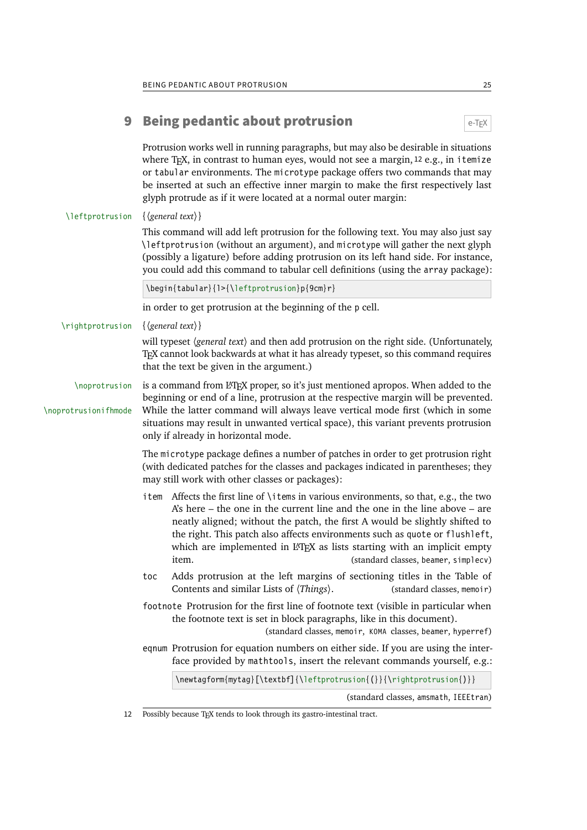## <span id="page-24-1"></span><span id="page-24-0"></span>**9 Being pedantic about protrusion**  $e^{-T}E^{\chi}$

Protrusion works well in running paragraphs, but may also be desirable in situations where T<sub>F</sub>X, in contrast to human eyes, would not see a margin,  $12$  e.g., in itemize or tabular environments. The microtype package offers two commands that may be inserted at such an effective inner margin to make the first respectively last glyph protrude as if it were located at a normal outer margin:

### \leftprotrusion {〈*general text*〉}

This command will add left protrusion for the following text. You may also just say \leftprotrusion (without an argument), and microtype will gather the next glyph (possibly a ligature) before adding protrusion on its left hand side. For instance, you could add this command to tabular cell definitions (using the array package):

\begin{tabular}{l>{\leftprotrusion}p{9cm}r}

in order to get protrusion at the beginning of the p cell.

\rightprotrusion {〈*general text*〉}

will typeset (general text) and then add protrusion on the right side. (Unfortunately, TeX cannot look backwards at what it has already typeset, so this command requires that the text be given in the argument.)

\noprotrusion is a command from LATEX proper, so it's just mentioned apropos. When added to the beginning or end of a line, protrusion at the respective margin will be prevented. \noprotrusionifhmode While the latter command will always leave vertical mode first (which in some situations may result in unwanted vertical space), this variant prevents protrusion only if already in horizontal mode.

> The microtype package defines a number of patches in order to get protrusion right (with dedicated patches for the classes and packages indicated in parentheses; they may still work with other classes or packages):

- item Affects the first line of \items in various environments, so that, e.g., the two A's here – the one in the current line and the one in the line above – are neatly aligned; without the patch, the first A would be slightly shifted to the right. This patch also affects environments such as quote or flushleft, which are implemented in LATEX as lists starting with an implicit empty item. (standard classes, beamer, simplecv)
- toc Adds protrusion at the left margins of sectioning titles in the Table of Contents and similar Lists of  $\langle Things \rangle$ . (standard classes, memoir)

footnote Protrusion for the first line of footnote text (visible in particular when the footnote text is set in block paragraphs, like in this document).

(standard classes, memoir, KOMA classes, beamer, hyperref)

eqnum Protrusion for equation numbers on either side. If you are using the interface provided by mathtools, insert the relevant commands yourself, e.g.:

| $\text{log}\{\text{ytag}\{\text{t} \} \} \$ |
|---------------------------------------------|
| (standard classes, amsmath, IEEEtran)       |

12 Possibly because TeX tends to look through its gastro-intestinal tract.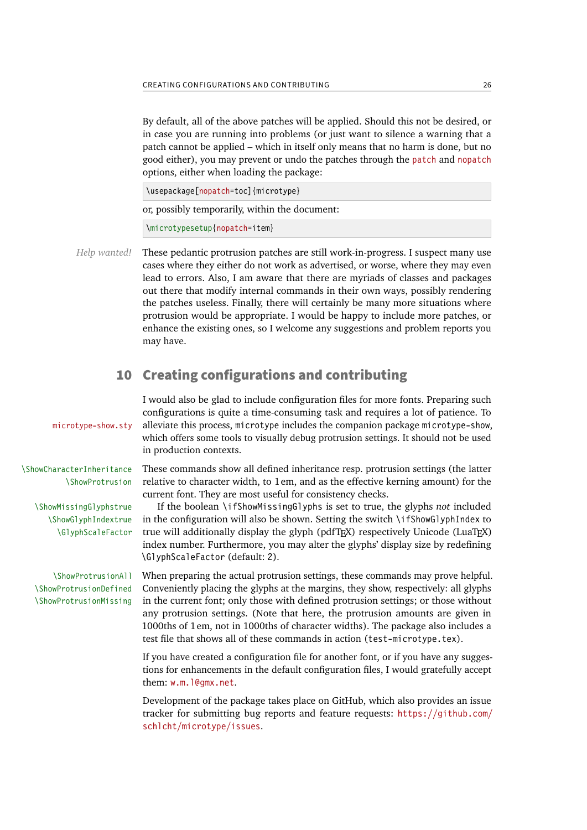<span id="page-25-1"></span>By default, all of the above patches will be applied. Should this not be desired, or in case you are running into problems (or just want to silence a warning that a patch cannot be applied – which in itself only means that no harm is done, but no good either), you may prevent or undo the patches through the patch and nopatch options, either when loading the package:

\usepackage[nopatch=toc]{microtype}

or, possibly temporarily, within the document:

\microtypesetup{nopatch=item}

*Help wanted!* These pedantic protrusion patches are still work-in-progress. I suspect many use cases where they either do not work as advertised, or worse, where they may even lead to errors. Also, I am aware that there are myriads of classes and packages out there that modify internal commands in their own ways, possibly rendering the patches useless. Finally, there will certainly be many more situations where protrusion would be appropriate. I would be happy to include more patches, or enhance the existing ones, so I welcome any suggestions and problem reports you may have.

## <span id="page-25-0"></span>10 Creating configurations and contributing

I would also be glad to include configuration files for more fonts. Preparing such configurations is quite a time-consuming task and requires a lot of patience. To microtype-show.sty alleviate this process, microtype includes the companion package microtype-show, which offers some tools to visually debug protrusion settings. It should not be used in production contexts.

\ShowCharacterInheritance These commands show all defined inheritance resp. protrusion settings (the latter \ShowProtrusion relative to character width, to 1em, and as the effective kerning amount) for the current font. They are most useful for consistency checks.

\ShowMissingGlyphstrue If the boolean \ifShowMissingGlyphs is set to true, the glyphs *not* included \ShowGlyphIndextrue in the configuration will also be shown. Setting the switch \ifShowGlyphIndex to \GlyphScaleFactor true will additionally display the glyph (pdfTFX) respectively Unicode (LuaTFX) index number. Furthermore, you may alter the glyphs' display size by redefining \GlyphScaleFactor (default: 2).

\ShowProtrusionAll When preparing the actual protrusion settings, these commands may prove helpful. \ShowProtrusionDefined Conveniently placing the glyphs at the margins, they show, respectively: all glyphs \ShowProtrusionMissing in the current font; only those with defined protrusion settings; or those without any protrusion settings. (Note that here, the protrusion amounts are given in 1000ths of 1em, not in 1000ths of character widths). The package also includes a test file that shows all of these commands in action (test-microtype.tex).

> If you have created a configuration file for another font, or if you have any suggestions for enhancements in the default configuration files, I would gratefully accept them: [w.m.l@gmx.net](mailto:Robert%20Schlicht%3cw.m.l@gmx.net%3e?subject=[microtype%20v3.0f]).

> Development of the package takes place on GitHub, which also provides an issue tracker for submitting bug reports and feature requests: [https://github.com/](https://github.com/schlcht/microtype/issues) [schlcht/microtype/issues](https://github.com/schlcht/microtype/issues).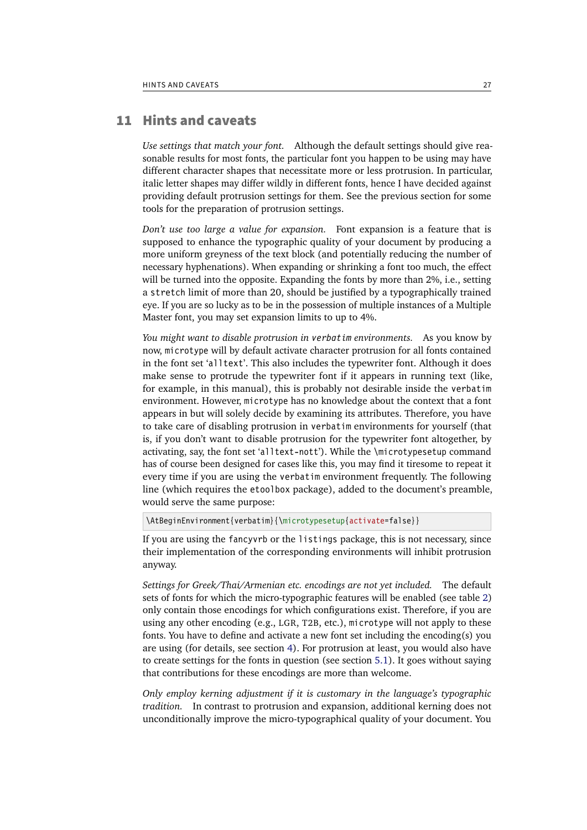## <span id="page-26-1"></span>11 Hints and caveats

<span id="page-26-0"></span>*Use settings that match your font.* Although the default settings should give reasonable results for most fonts, the particular font you happen to be using may have different character shapes that necessitate more or less protrusion. In particular, italic letter shapes may differ wildly in different fonts, hence I have decided against providing default protrusion settings for them. See the previous section for some tools for the preparation of protrusion settings.

*Don't use too large a value for expansion.* Font expansion is a feature that is supposed to enhance the typographic quality of your document by producing a more uniform greyness of the text block (and potentially reducing the number of necessary hyphenations). When expanding or shrinking a font too much, the effect will be turned into the opposite. Expanding the fonts by more than 2%, i.e., setting a stretch limit of more than 20, should be justified by a typographically trained eye. If you are so lucky as to be in the possession of multiple instances of a Multiple Master font, you may set expansion limits to up to 4%.

*You might want to disable protrusion in verbatim environments.* As you know by now, microtype will by default activate character protrusion for all fonts contained in the font set 'alltext'. This also includes the typewriter font. Although it does make sense to protrude the typewriter font if it appears in running text (like, for example, in this manual), this is probably not desirable inside the verbatim environment. However, microtype has no knowledge about the context that a font appears in but will solely decide by examining its attributes. Therefore, you have to take care of disabling protrusion in verbatim environments for yourself (that is, if you don't want to disable protrusion for the typewriter font altogether, by activating, say, the font set 'alltext-nott'). While the \microtypesetup command has of course been designed for cases like this, you may find it tiresome to repeat it every time if you are using the verbatim environment frequently. The following line (which requires the etoolbox package), added to the document's preamble, would serve the same purpose:

\AtBeginEnvironment{verbatim}{\microtypesetup{activate=false}}

If you are using the fancyvrb or the listings package, this is not necessary, since their implementation of the corresponding environments will inhibit protrusion anyway.

*Settings for Greek/Thai/Armenian etc. encodings are not yet included.* The default sets of fonts for which the micro-typographic features will be enabled (see table [2\)](#page-10-1) only contain those encodings for which configurations exist. Therefore, if you are using any other encoding (e.g., LGR, T2B, etc.), microtype will not apply to these fonts. You have to define and activate a new font set including the encoding(s) you are using (for details, see section [4\)](#page-8-0). For protrusion at least, you would also have to create settings for the fonts in question (see section [5.1\)](#page-11-0). It goes without saying that contributions for these encodings are more than welcome.

*Only employ kerning adjustment if it is customary in the language's typographic tradition.* In contrast to protrusion and expansion, additional kerning does not unconditionally improve the micro-typographical quality of your document. You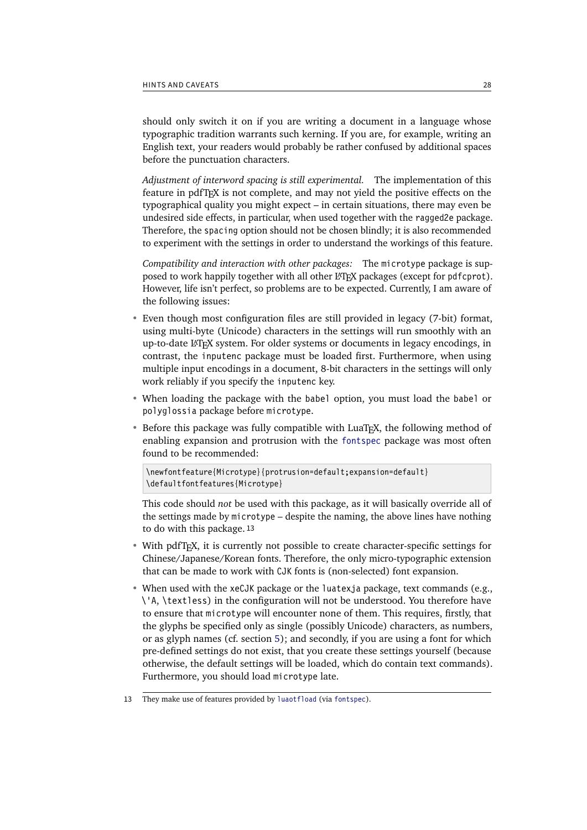<span id="page-27-0"></span>should only switch it on if you are writing a document in a language whose typographic tradition warrants such kerning. If you are, for example, writing an English text, your readers would probably be rather confused by additional spaces before the punctuation characters.

*Adjustment of interword spacing is still experimental.* The implementation of this feature in pdfTeX is not complete, and may not yield the positive effects on the typographical quality you might expect – in certain situations, there may even be undesired side effects, in particular, when used together with the ragged2e package. Therefore, the spacing option should not be chosen blindly; it is also recommended to experiment with the settings in order to understand the workings of this feature.

*Compatibility and interaction with other packages:* The microtype package is supposed to work happily together with all other LAT<sub>EX</sub> packages (except for pdfcprot). However, life isn't perfect, so problems are to be expected. Currently, I am aware of the following issues:

- Even though most configuration files are still provided in legacy (7-bit) format, using multi-byte (Unicode) characters in the settings will run smoothly with an up-to-date L<sup>AT</sup>EX system. For older systems or documents in legacy encodings, in contrast, the inputenc package must be loaded first. Furthermore, when using multiple input encodings in a document, 8-bit characters in the settings will only work reliably if you specify the inputenc key.
- When loading the package with the babel option, you must load the babel or polyglossia package before microtype.
- Before this package was fully compatible with LuaT<sub>F</sub>X, the following method of enabling expansion and protrusion with the [fontspec](#page-31-2) package was most often found to be recommended:

```
\newfontfeature{Microtype}{protrusion=default;expansion=default}
\defaultfontfeatures{Microtype}
```
This code should *not* be used with this package, as it will basically override all of the settings made by microtype – despite the naming, the above lines have nothing to do with this package. 13

- With pdfT<sub>F</sub>X, it is currently not possible to create character-specific settings for Chinese/Japanese/Korean fonts. Therefore, the only micro-typographic extension that can be made to work with CJK fonts is (non-selected) font expansion.
- When used with the xeCJK package or the luatexja package, text commands (e.g., \'A, \textless) in the configuration will not be understood. You therefore have to ensure that microtype will encounter none of them. This requires, firstly, that the glyphs be specified only as single (possibly Unicode) characters, as numbers, or as glyph names (cf. section [5\)](#page-10-0); and secondly, if you are using a font for which pre-defined settings do not exist, that you create these settings yourself (because otherwise, the default settings will be loaded, which do contain text commands). Furthermore, you should load microtype late.
- 13 They make use of features provided by [luaotfload](#page-31-3) (via [fontspec](#page-31-2)).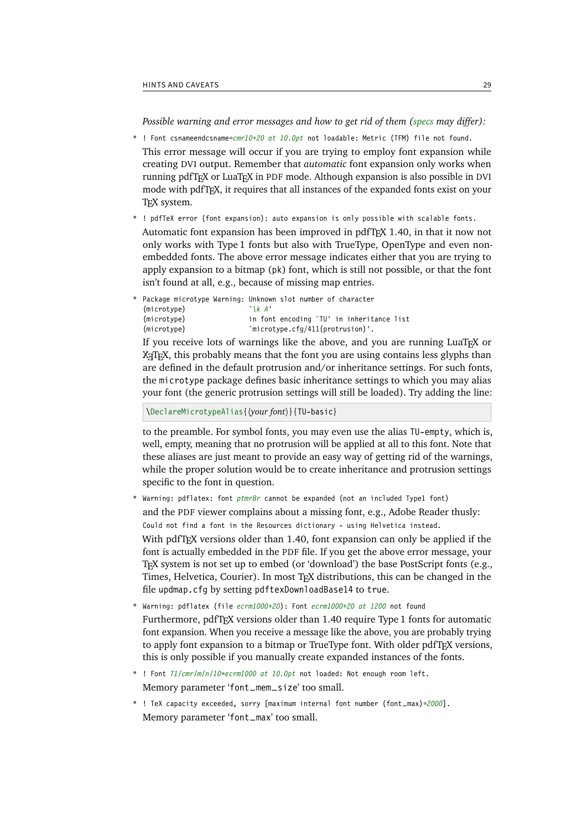<span id="page-28-0"></span>*Possible warning and error messages and how to get rid of them (specs may differ):*

- ! Font csnameendcsname=*cmr10+20 at 10.0pt* not loadable: Metric (TFM) file not found. This error message will occur if you are trying to employ font expansion while creating DVI output. Remember that *automatic* font expansion only works when running pdfTeX or LuaTeX in PDF mode. Although expansion is also possible in DVI mode with pdfTeX , it requires that all instances of the expanded fonts exist on your TeX system.
- ! pdfTeX error (font expansion): auto expansion is only possible with scalable fonts. Automatic font expansion has been improved in pdfTeX 1.40, in that it now not only works with Type 1 fonts but also with TrueType, OpenType and even nonembedded fonts. The above error message indicates either that you are trying to apply expansion to a bitmap (pk) font, which is still not possible, or that the font isn't found at all, e.g., because of missing map entries.

```
Package microtype Warning: Unknown slot number of character
(microtype) `\k A'
(microtype) in font encoding `TU' in inheritance list
(microtype) `microtype.cfg/411(protrusion)'.
```
If you receive lots of warnings like the above, and you are running LuaTeX or X<sub>T</sub>T<sub>F</sub>X, this probably means that the font you are using contains less glyphs than are defined in the default protrusion and/or inheritance settings. For such fonts, the microtype package defines basic inheritance settings to which you may alias your font (the generic protrusion settings will still be loaded). Try adding the line:

\DeclareMicrotypeAlias{\\times\ypurfont}}{TU-basic}

to the preamble. For symbol fonts, you may even use the alias TU-empty, which is, well, empty, meaning that no protrusion will be applied at all to this font. Note that these aliases are just meant to provide an easy way of getting rid of the warnings, while the proper solution would be to create inheritance and protrusion settings specific to the font in question.

- Warning: pdflatex: font *ptmr8r* cannot be expanded (not an included Type1 font) and the PDF viewer complains about a missing font, e.g., Adobe Reader thusly: Could not find a font in the Resources dictionary - using Helvetica instead. With pdfT<sub>F</sub>X versions older than 1.40, font expansion can only be applied if the font is actually embedded in the PDF file. If you get the above error message, your TeX system is not set up to embed (or 'download') the base PostScript fonts (e.g., Times, Helvetica, Courier). In most TeX distributions, this can be changed in the file updmap.cfg by setting pdftexDownloadBase14 to true.
- Warning: pdflatex (file *ecrm1000+20*): Font *ecrm1000+20 at 1200* not found Furthermore, pdfTeX versions older than 1.40 require Type 1 fonts for automatic font expansion. When you receive a message like the above, you are probably trying to apply font expansion to a bitmap or TrueType font. With older pdfTeX versions, this is only possible if you manually create expanded instances of the fonts.
- ! Font *T1/cmr/m/n/10*=*ecrm1000 at 10.0pt* not loaded: Not enough room left. Memory parameter 'font\_mem\_size' too small.
- ! TeX capacity exceeded, sorry [maximum internal font number (font\_max)=*2000*]. Memory parameter 'font\_max' too small.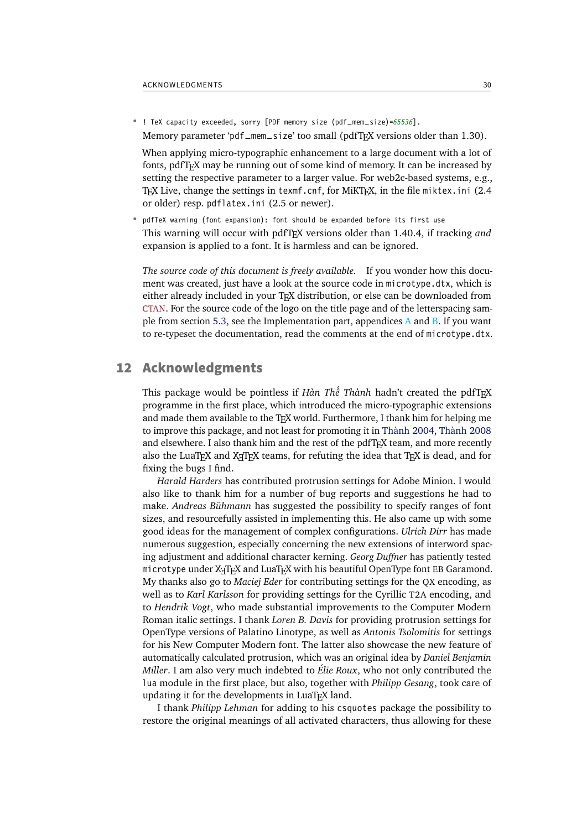<span id="page-29-1"></span>• ! TeX capacity exceeded, sorry [PDF memory size (pdf\_mem\_size)=*65536*]. Memory parameter 'pdf\_mem\_size' too small (pdfT<sub>E</sub>X versions older than 1.30).

When applying micro-typographic enhancement to a large document with a lot of fonts, pdfTeX may be running out of some kind of memory. It can be increased by setting the respective parameter to a larger value. For web2c-based systems, e.g., TeX Live, change the settings in texmf.cnf, for MiKTeX , in the file miktex.ini (2.4 or older) resp. pdflatex.ini (2.5 or newer).

• pdfTeX warning (font expansion): font should be expanded before its first use This warning will occur with pdfTeX versions older than 1.40.4, if tracking *and* expansion is applied to a font. It is harmless and can be ignored.

*The source code of this document is freely available.* If you wonder how this document was created, just have a look at the source code in microtype.dtx, which is either already included in your TeX distribution, or else can be downloaded from [CTAN](https://mirror.ctan.org/macros/latex/contrib/microtype/). For the source code of the logo on the title page and of the letterspacing sample from section [5.3,](#page-14-0) see the Implementation part, appendices A and B. If you want to re-typeset the documentation, read the comments at the end of microtype.dtx.

## <span id="page-29-0"></span>12 Acknowledgments

This package would be pointless if *Hàn Thê´ Thành* hadn't created the pdfTeX programme in the first place, which introduced the micro-typographic extensions and made them available to the TeX world. Furthermore, I thank him for helping me to improve this package, and not least for promoting it in [Thành 2004,](#page-30-5) [Thành 2008](#page-30-6) and elsewhere. I also thank him and the rest of the pdfTeX team, and more recently also the LuaT<sub>E</sub>X and X<sub>T</sub>T<sub>E</sub>X teams, for refuting the idea that T<sub>E</sub>X is dead, and for fixing the bugs I find.

*Harald Harders* has contributed protrusion settings for Adobe Minion. I would also like to thank him for a number of bug reports and suggestions he had to make. *Andreas Bühmann* has suggested the possibility to specify ranges of font sizes, and resourcefully assisted in implementing this. He also came up with some good ideas for the management of complex configurations. *Ulrich Dirr* has made numerous suggestion, especially concerning the new extensions of interword spacing adjustment and additional character kerning. *Georg Duffner* has patiently tested microtype under XaTFX and LuaTFX with his beautiful OpenType font EB Garamond. My thanks also go to *Maciej Eder* for contributing settings for the QX encoding, as well as to *Karl Karlsson* for providing settings for the Cyrillic T2A encoding, and to *Hendrik Vogt*, who made substantial improvements to the Computer Modern Roman italic settings. I thank *Loren B. Davis* for providing protrusion settings for OpenType versions of Palatino Linotype, as well as *Antonis Tsolomitis* for settings for his New Computer Modern font. The latter also showcase the new feature of automatically calculated protrusion, which was an original idea by *Daniel Benjamin Miller*. I am also very much indebted to *Élie Roux*, who not only contributed the lua module in the first place, but also, together with *Philipp Gesang*, took care of updating it for the developments in LuaTFX land.

I thank *Philipp Lehman* for adding to his csquotes package the possibility to restore the original meanings of all activated characters, thus allowing for these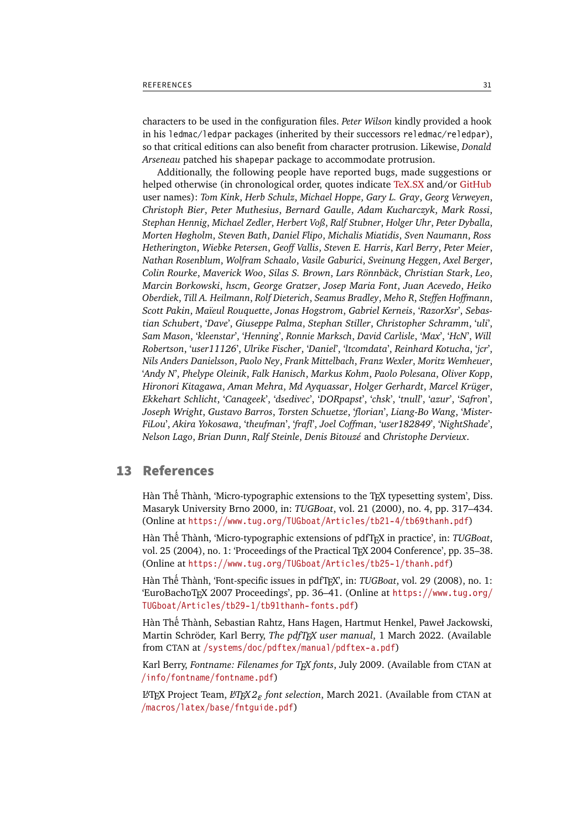<span id="page-30-7"></span>characters to be used in the configuration files. *Peter Wilson* kindly provided a hook in his ledmac/ledpar packages (inherited by their successors reledmac/reledpar), so that critical editions can also benefit from character protrusion. Likewise, *Donald Arseneau* patched his shapepar package to accommodate protrusion.

Additionally, the following people have reported bugs, made suggestions or helped otherwise (in chronological order, quotes indicate [TeX.SX](https://tex.stackexchange.com/users/) and/or [GitHub](https://github.com/) user names): *Tom Kink*, *Herb Schulz*, *Michael Hoppe*, *Gary L. Gray*, *Georg Verweyen*, *Christoph Bier*, *Peter Muthesius*, *Bernard Gaulle*, *Adam Kucharczyk*, *Mark Rossi*, *Stephan Hennig*, *Michael Zedler*, *Herbert Voß*, *Ralf Stubner*, *Holger Uhr*, *Peter Dyballa*, *Morten Høgholm*, *Steven Bath*, *Daniel Flipo*, *Michalis Miatidis*, *Sven Naumann*, *Ross Hetherington*, *Wiebke Petersen*, *Geoff Vallis*, *Steven E. Harris*, *Karl Berry*, *Peter Meier*, *Nathan Rosenblum*, *Wolfram Schaalo*, *Vasile Gaburici*, *Sveinung Heggen*, *Axel Berger*, *Colin Rourke*, *Maverick Woo*, *Silas S. Brown*, *Lars Rönnbäck*, *Christian Stark*, *Leo*, *Marcin Borkowski*, *hscm*, *George Gratzer*, *Josep Maria Font*, *Juan Acevedo*, *Heiko Oberdiek*, *Till A. Heilmann*, *Rolf Dieterich*, *Seamus Bradley*, *Meho R*, *Steffen Hoffmann*, *Scott Pakin*, *Maïeul Rouquette*, *Jonas Hogstrom*, *Gabriel Kerneis*, '*RazorXsr*', *Sebastian Schubert*, '*Dave*', *Giuseppe Palma*, *Stephan Stiller*, *Christopher Schramm*, '*uli*', *Sam Mason*, '*kleenstar*', '*Henning*', *Ronnie Marksch*, *David Carlisle*, '*Max*', '*HcN*', *Will Robertson*, '*user11126*', *Ulrike Fischer*, '*Daniel*', '*ltcomdata*', *Reinhard Kotucha*, '*jcr*', *Nils Anders Danielsson*, *Paolo Ney*, *Frank Mittelbach*, *Franz Wexler*, *Moritz Wemheuer*, '*Andy N*', *Phelype Oleinik*, *Falk Hanisch*, *Markus Kohm*, *Paolo Polesana*, *Oliver Kopp*, *Hironori Kitagawa*, *Aman Mehra*, *Md Ayquassar*, *Holger Gerhardt*, *Marcel Krüger*, *Ekkehart Schlicht*, '*Canageek*', '*dsedivec*', '*DORpapst*', '*chsk*', '*tnull*', '*azur*', '*Safron*', *Joseph Wright*, *Gustavo Barros*, *Torsten Schuetze*, '*florian*', *Liang-Bo Wang*, '*Mister-FiLou*', *Akira Yokosawa*, '*theufman*', '*frafl*', *Joel Coffman*, '*user182849*', '*NightShade*', *Nelson Lago*, *Brian Dunn*, *Ralf Steinle*, *Denis Bitouzé* and *Christophe Dervieux*.

## <span id="page-30-1"></span><span id="page-30-0"></span>13 References

Hàn Thế Thành, 'Micro-typographic extensions to the TEX typesetting system', Diss. Masaryk University Brno 2000, in: *TUGBoat*, vol. 21 (2000), no. 4, pp. 317–434. (Online at <https://www.tug.org/TUGboat/Articles/tb21-4/tb69thanh.pdf>)

<span id="page-30-5"></span>Hàn Thê´ Thành, 'Micro-typographic extensions of pdfTeX in practice', in: *TUGBoat*, vol. 25 (2004), no. 1: 'Proceedings of the Practical T<sub>F</sub>X 2004 Conference', pp. 35–38. (Online at <https://www.tug.org/TUGboat/Articles/tb25-1/thanh.pdf>)

<span id="page-30-6"></span>Hàn Thê´ Thành, 'Font-specific issues in pdfTeX ', in: *TUGBoat*, vol. 29 (2008), no. 1: 'EuroBachoTeX 2007 Proceedings', pp. 36–41. (Online at [https://www.tug.org/](https://www.tug.org/TUGboat/Articles/tb29-1/tb91thanh-fonts.pdf) [TUGboat/Articles/tb29-1/tb91thanh-fonts.pdf](https://www.tug.org/TUGboat/Articles/tb29-1/tb91thanh-fonts.pdf))

<span id="page-30-2"></span>Hàn Thê´ Thành, Sebastian Rahtz, Hans Hagen, Hartmut Henkel, Paweł Jackowski, Martin Schröder, Karl Berry, *The pdfTeX user manual*, 1 March 2022. (Available from CTAN at [/systems/doc/pdftex/manual/pdftex-a.pdf](https://mirror.ctan.org/systems/doc/pdftex/manual/pdftex-a.pdf))

<span id="page-30-4"></span>Karl Berry, *Fontname: Filenames for TeX fonts*, July 2009. (Available from CTAN at [/info/fontname/fontname.pdf](https://mirror.ctan.org/info/fontname/fontname.pdf))

<span id="page-30-3"></span>LaTeX Project Team, *LaTeX 2ϵ font selection*, March 2021. (Available from CTAN at [/macros/latex/base/fntguide.pdf](https://mirror.ctan.org/macros/latex/base/fntguide.pdf))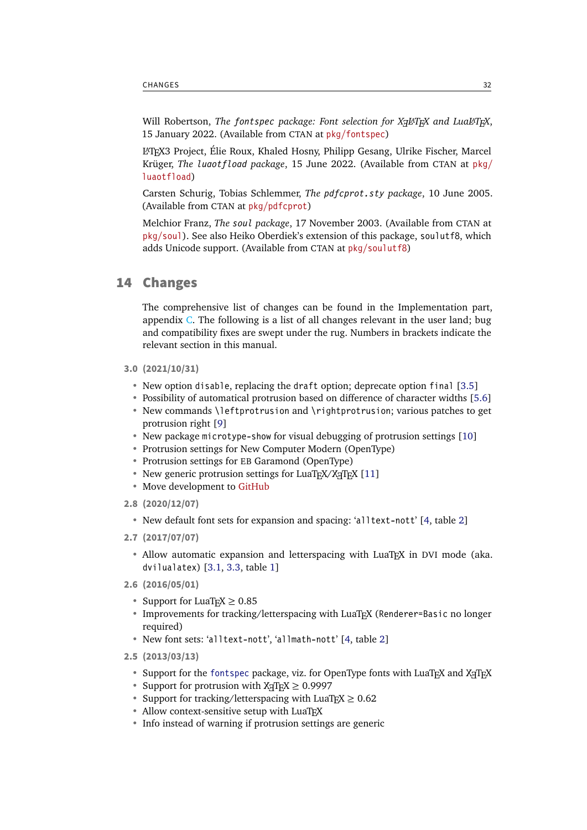<span id="page-31-4"></span><span id="page-31-2"></span>Will Robertson, *The fontspec package: Font selection for Xe LaTeX and LuaLaTeX* , 15 January 2022. (Available from CTAN at [pkg/fontspec](https://www.ctan.org/pkg/fontspec))

<span id="page-31-3"></span>LaTeX 3 Project, Élie Roux, Khaled Hosny, Philipp Gesang, Ulrike Fischer, Marcel Krüger, *The luaotfload package*, 15 June 2022. (Available from CTAN at [pkg/](https://www.ctan.org/pkg/luaotfload) [luaotfload](https://www.ctan.org/pkg/luaotfload))

Carsten Schurig, Tobias Schlemmer, *The pdfcprot.sty package*, 10 June 2005. (Available from CTAN at [pkg/pdfcprot](https://www.ctan.org/pkg/pdfcprot))

<span id="page-31-1"></span>Melchior Franz, *The soul package*, 17 November 2003. (Available from CTAN at [pkg/soul](https://www.ctan.org/pkg/soul)). See also Heiko Oberdiek's extension of this package, soulutf8, which adds Unicode support. (Available from CTAN at [pkg/soulutf8](https://www.ctan.org/pkg/soulutf8))

## <span id="page-31-0"></span>14 Changes

The comprehensive list of changes can be found in the Implementation part, appendix C. The following is a list of all changes relevant in the user land; bug and compatibility fixes are swept under the rug. Numbers in brackets indicate the relevant section in this manual.

- **3.0 (2021/10/31)**
	- New option disable, replacing the draft option; deprecate option final [\[3.5\]](#page-7-1)
	- Possibility of automatical protrusion based on difference of character widths [\[5.6\]](#page-18-0)
	- New commands \leftprotrusion and \rightprotrusion; various patches to get protrusion right [\[9\]](#page-24-0)
	- New package microtype-show for visual debugging of protrusion settings [\[10\]](#page-25-0)
	- Protrusion settings for New Computer Modern (OpenType)
	- Protrusion settings for EB Garamond (OpenType)
	- New generic protrusion settings for LuaTFX/XFIFX [\[11\]](#page-26-0)
	- Move development to [GitHub](https://github.com/schlcht/microtype)
- **2.8 (2020/12/07)**
	- New default font sets for expansion and spacing: 'alltext-nott' [\[4,](#page-8-0) table [2\]](#page-10-1)
- **2.7 (2017/07/07)**
	- Allow automatic expansion and letterspacing with LuaTEX in DVI mode (aka. dvilualatex) [\[3.1,](#page-4-1) [3.3,](#page-6-0) table [1\]](#page-5-1)
- **2.6 (2016/05/01)**
	- Support for LuaT<sub>F</sub> $X \geq 0.85$
	- Improvements for tracking/letterspacing with LuaTFX (Renderer=Basic no longer required)
	- New font sets: 'alltext-nott', 'allmath-nott' [\[4,](#page-8-0) table [2\]](#page-10-1)
- **2.5 (2013/03/13)**
	- Support for the [fontspec](#page-31-2) package, viz. for OpenType fonts with LuaTEX and XETEX
	- Support for protrusion with  $X \leq T_F X \geq 0.9997$
	- Support for tracking/letterspacing with LuaT<sub>F</sub> $X \ge 0.62$
	- Allow context-sensitive setup with LuaTEX
	- Info instead of warning if protrusion settings are generic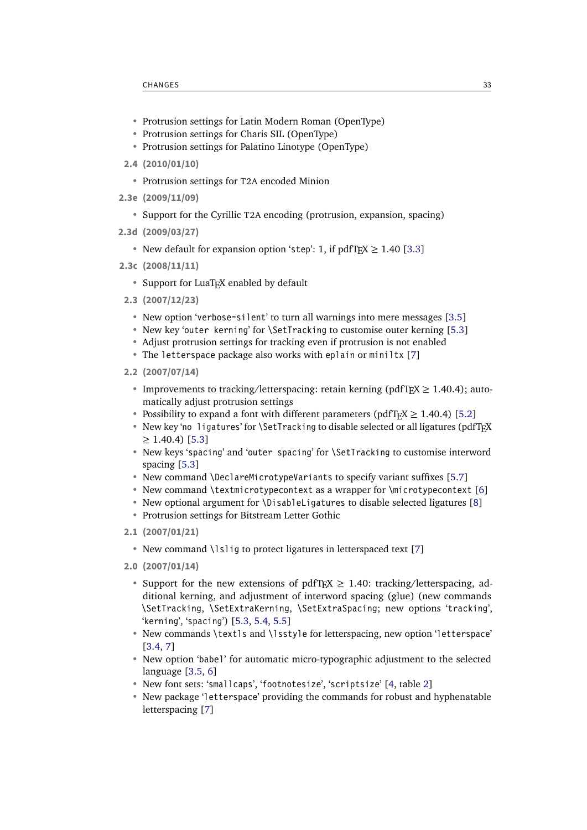- <span id="page-32-0"></span>• Protrusion settings for Latin Modern Roman (OpenType)
- Protrusion settings for Charis SIL (OpenType)
- Protrusion settings for Palatino Linotype (OpenType)
- **2.4 (2010/01/10)**
	- Protrusion settings for T2A encoded Minion
- **2.3e (2009/11/09)**
	- Support for the Cyrillic T2A encoding (protrusion, expansion, spacing)
- **2.3d (2009/03/27)**
	- New default for expansion option 'step': 1, if  $pdfTeX \ge 1.40$  [\[3.3\]](#page-6-0)
- **2.3c (2008/11/11)**
	- Support for LuaTeX enabled by default
- **2.3 (2007/12/23)**
	- New option 'verbose=silent' to turn all warnings into mere messages [\[3.5\]](#page-7-1)
	- New key 'outer kerning' for \SetTracking to customise outer kerning [\[5.3\]](#page-14-0)
	- Adjust protrusion settings for tracking even if protrusion is not enabled
	- The letterspace package also works with eplain or miniltx [\[7\]](#page-22-0)
- **2.2 (2007/07/14)**
	- Improvements to tracking/letterspacing: retain kerning (pdfT<sub>F</sub>X  $\geq$  1.40.4); automatically adjust protrusion settings
	- Possibility to expand a font with different parameters (pdfT<sub>F</sub>X  $\geq$  1.40.4) [\[5.2\]](#page-12-0)
	- New key 'no ligatures' for \SetTracking to disable selected or all ligatures (pdfTFX  $\geq$  1.40.4) [\[5.3\]](#page-14-0)
	- New keys 'spacing' and 'outer spacing' for \SetTracking to customise interword spacing [\[5.3\]](#page-14-0)
	- New command \DeclareMicrotypeVariants to specify variant suffixes [\[5.7\]](#page-19-0)
	- New command \textmicrotypecontext as a wrapper for \microtypecontext [\[6\]](#page-20-0)
	- New optional argument for \DisableLigatures to disable selected ligatures [\[8\]](#page-23-0)
	- Protrusion settings for Bitstream Letter Gothic
- **2.1 (2007/01/21)**
	- New command \lslig to protect ligatures in letterspaced text [\[7\]](#page-22-0)
- **2.0 (2007/01/14)**
	- Support for the new extensions of pdfT<sub>F</sub>X  $\geq$  1.40: tracking/letterspacing, additional kerning, and adjustment of interword spacing (glue) (new commands \SetTracking, \SetExtraKerning, \SetExtraSpacing; new options 'tracking', 'kerning', 'spacing') [\[5.3,](#page-14-0) [5.4,](#page-16-0) [5.5\]](#page-17-0)
	- New commands \textls and \lsstyle for letterspacing, new option 'letterspace' [\[3.4,](#page-7-0) [7\]](#page-22-0)
	- New option 'babel' for automatic micro-typographic adjustment to the selected language [\[3.5,](#page-7-1) [6\]](#page-20-0)
	- New font sets: 'smallcaps', 'footnotesize', 'scriptsize' [\[4,](#page-8-0) table [2\]](#page-10-1)
	- New package 'letterspace' providing the commands for robust and hyphenatable letterspacing [\[7\]](#page-22-0)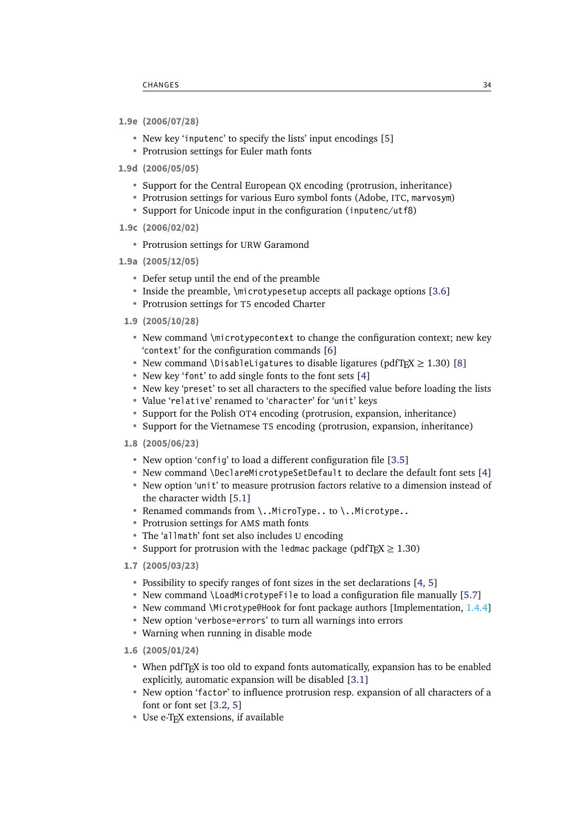- <span id="page-33-0"></span>**1.9e (2006/07/28)**
	- New key 'inputenc' to specify the lists' input encodings [\[5\]](#page-10-0)
	- Protrusion settings for Euler math fonts
- **1.9d (2006/05/05)**
	- Support for the Central European QX encoding (protrusion, inheritance)
	- Protrusion settings for various Euro symbol fonts (Adobe, ITC, marvosym)
	- Support for Unicode input in the configuration (inputenc/utf8)
- **1.9c (2006/02/02)**
	- Protrusion settings for URW Garamond
- **1.9a (2005/12/05)**
	- Defer setup until the end of the preamble
	- Inside the preamble, \microtypesetup accepts all package options [\[3.6\]](#page-7-2)
	- Protrusion settings for T5 encoded Charter
	- **1.9 (2005/10/28)**
		- New command \microtypecontext to change the configuration context; new key 'context' for the configuration commands [\[6\]](#page-20-0)
		- New command \DisableLigatures to disable ligatures (pdfT $FX \ge 1.30$ ) [\[8\]](#page-23-0)
		- New key 'font' to add single fonts to the font sets [\[4\]](#page-8-0)
		- New key 'preset' to set all characters to the specified value before loading the lists
		- Value 'relative' renamed to 'character' for 'unit' keys
		- Support for the Polish OT4 encoding (protrusion, expansion, inheritance)
		- Support for the Vietnamese T5 encoding (protrusion, expansion, inheritance)
	- **1.8 (2005/06/23)**
		- New option 'config' to load a different configuration file [\[3.5\]](#page-7-1)
		- New command \DeclareMicrotypeSetDefault to declare the default font sets [\[4\]](#page-8-0)
		- New option 'unit' to measure protrusion factors relative to a dimension instead of the character width [\[5.1\]](#page-11-0)
		- Renamed commands from \..MicroType.. to \..Microtype..
		- Protrusion settings for AMS math fonts
		- The 'allmath' font set also includes U encoding
		- Support for protrusion with the ledmac package (pdfT<sub>F</sub> $X \ge 1.30$ )
	- **1.7 (2005/03/23)**
		- Possibility to specify ranges of font sizes in the set declarations [\[4,](#page-8-0) [5\]](#page-10-0)
		- New command \LoadMicrotypeFile to load a configuration file manually [\[5.7\]](#page-19-0)
		- New command \Microtype@Hook for font package authors [Implementation, 1.4.4]
		- New option 'verbose=errors' to turn all warnings into errors
		- Warning when running in disable mode
	- **1.6 (2005/01/24)**
		- When pdfT<sub>F</sub>X is too old to expand fonts automatically, expansion has to be enabled explicitly, automatic expansion will be disabled [\[3.1\]](#page-4-1)
		- New option 'factor' to influence protrusion resp. expansion of all characters of a font or font set [\[3.2,](#page-5-0) [5\]](#page-10-0)
		- Use e-TeX extensions, if available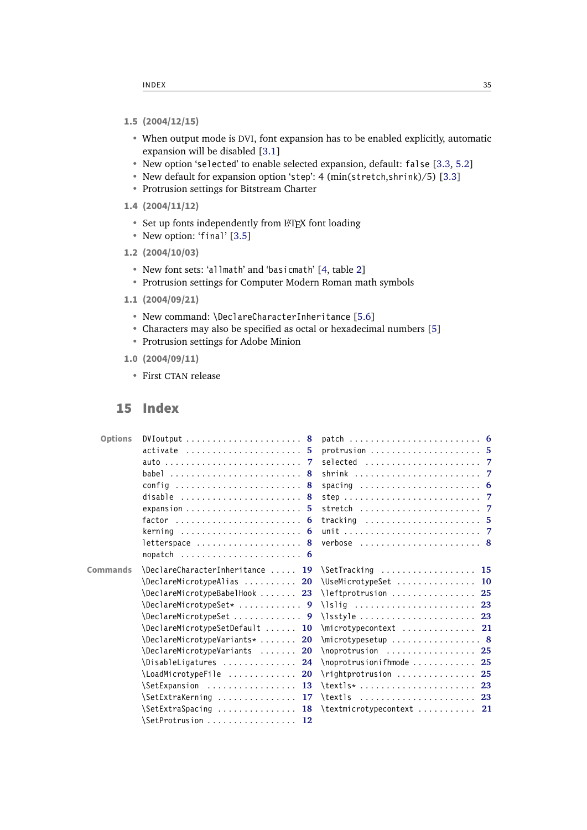- <span id="page-34-1"></span>**1.5 (2004/12/15)**
	- When output mode is DVI, font expansion has to be enabled explicitly, automatic expansion will be disabled [\[3.1\]](#page-4-1)
	- New option 'selected' to enable selected expansion, default: false [\[3.3,](#page-6-0) [5.2\]](#page-12-0)
	- New default for expansion option 'step': 4 (min(stretch,shrink)/5) [\[3.3\]](#page-6-0)
	- Protrusion settings for Bitstream Charter
- **1.4 (2004/11/12)**
	- Set up fonts independently from LATEX font loading
	- New option: 'final' [\[3.5\]](#page-7-1)
- **1.2 (2004/10/03)**
	- New font sets: 'allmath' and 'basicmath' [\[4,](#page-8-0) table [2\]](#page-10-1)
	- Protrusion settings for Computer Modern Roman math symbols
- **1.1 (2004/09/21)**
	- New command: \DeclareCharacterInheritance [\[5.6\]](#page-18-0)
	- Characters may also be specified as octal or hexadecimal numbers [\[5\]](#page-10-0)
	- Protrusion settings for Adobe Minion
- **1.0 (2004/09/11)**
	- First CTAN release

## <span id="page-34-0"></span>15 Index

| <b>Options</b>  | DVIoutput $\ldots \ldots \ldots \ldots \ldots \ldots 8$ |                                                               |
|-----------------|---------------------------------------------------------|---------------------------------------------------------------|
|                 | active                                                  | protrusion $5$                                                |
|                 |                                                         | selected $\ldots \ldots \ldots \ldots \ldots \ldots$          |
|                 | babel  8                                                | shrink $\ldots \ldots \ldots \ldots \ldots \ldots \ldots$     |
|                 | config  8                                               |                                                               |
|                 | disable $\ldots \ldots \ldots \ldots \ldots \ldots$     |                                                               |
|                 | expansion $5$                                           |                                                               |
|                 |                                                         | tracking $\ldots \ldots \ldots \ldots \ldots \ldots 5$        |
|                 | kerning $\ldots \ldots \ldots \ldots \ldots$            |                                                               |
|                 | letterspace $\ldots \ldots \ldots \ldots \ldots$        | verbose  8                                                    |
|                 | nopatch $6$                                             |                                                               |
| <b>Commands</b> | \DeclareCharacterInheritance  19 \SetTracking           | 15                                                            |
|                 | \DeclareMicrotypeAlias  20                              | \UseMicrotypeSet  10                                          |
|                 | \DeclareMicrotypeBabelHook  23                          | $\left\{\right\}$ deftprotrusion  25                          |
|                 | \DeclareMicrotypeSet*  9                                |                                                               |
|                 | \DeclareMicrotypeSet  9                                 | $\iint_S$ 23                                                  |
|                 | \DeclareMicrotypeSetDefault  10                         | $\langle$ microtypecontext  21                                |
|                 | $\Delta$ PeclareMicrotypeVariants*<br><b>20</b>         | $\{\text{microtype setup } \dots \dots \dots \dots \quad 8\}$ |
|                 | \DeclareMicrotypeVariants<br>20                         | $\longrightarrow 25$                                          |
|                 | \DisableLigatures<br>24                                 | $\longrightarrow$ $\longrightarrow$ 25                        |
|                 | \LoadMicrotypeFile<br>20                                | $\rightarrow$ 25                                              |
|                 | SetExpansion  13                                        | $\text{textls*} \dots \dots \dots \dots \dots \ 23$           |
|                 | \SetExtraKerning<br>17                                  | $\text{textls} \ldots \ldots \ldots \ldots 23$                |
|                 | \SetExtraSpacing  18                                    | $\text{textmicrotypecontext} \dots \dots \dots \quad 21$      |
|                 | \SetProtrusion<br>-12                                   |                                                               |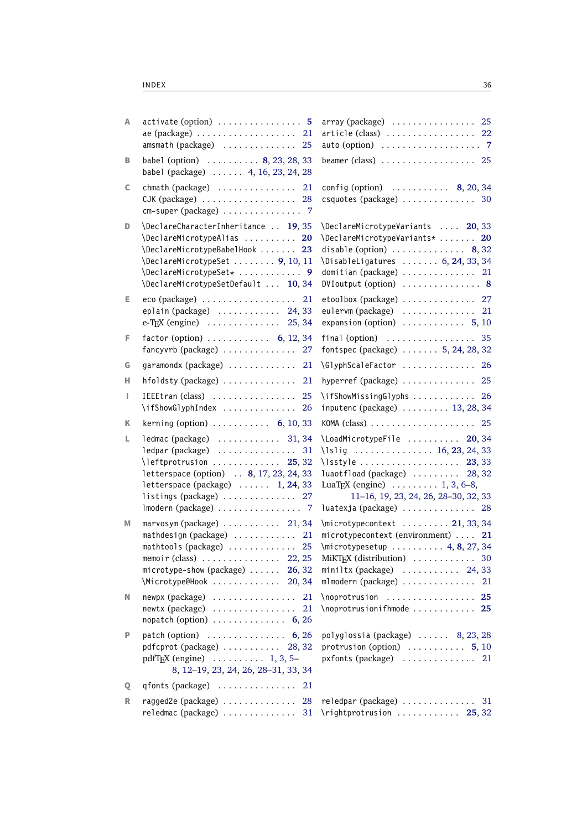| Α  | $\text{active (option)} \dots \dots \dots \dots \dots \dots 5$<br>ae (package)  21<br>amsmath (package)  25                                                                                                                                             | array (package)  25<br>article (class)  22                                                                                                                                                                                                                                     |
|----|---------------------------------------------------------------------------------------------------------------------------------------------------------------------------------------------------------------------------------------------------------|--------------------------------------------------------------------------------------------------------------------------------------------------------------------------------------------------------------------------------------------------------------------------------|
| в  | babel (option) $\ldots \ldots \ldots 8, 23, 28, 33$<br>babel (package)  4, 16, 23, 24, 28                                                                                                                                                               | beamer (class) $\ldots$ 25                                                                                                                                                                                                                                                     |
| c  | chmath (package) $\ldots \ldots \ldots \ldots 21$<br>CJK (package)  28<br>cm-super (package)  7                                                                                                                                                         | config (option) $\ldots \ldots \ldots$ 8, 20, 34<br>csquotes (package)  30                                                                                                                                                                                                     |
| D  | \DeclareCharacterInheritance  19, 35<br>\DeclareMicrotypeAlias  20<br>\DeclareMicrotypeBabelHook  23<br>\DeclareMicrotypeSet  9, 10, 11<br>\DeclareMicrotypeSet*  9<br>\DeclareMicrotypeSetDefault  10, 34                                              | \DeclareMicrotypeVariants  20,33<br>\DeclareMicrotypeVariants*  20<br>disable (option) $\ldots \ldots \ldots \ldots$ 8, 32<br>\DisableLigatures  6, 24, 33, 34<br>domitian (package)  21<br>DVIoutput (option)  8                                                              |
| E. | eco (package)  21<br>eplain (package)  24,33<br>e-T <sub>E</sub> X (engine)  25, 34                                                                                                                                                                     | etoolbox (package)  27<br>eulervm (package)  21<br>expansion (option) $\ldots \ldots \ldots 5, 10$                                                                                                                                                                             |
| F  | factor (option) $\ldots \ldots \ldots$ 6, 12, 34<br>fancyvrb (package)  27                                                                                                                                                                              | final (option) $\ldots \ldots \ldots \ldots \ldots$ 35<br>fontspec (package)  5, 24, 28, 32                                                                                                                                                                                    |
| G  | garamondx (package)  21                                                                                                                                                                                                                                 | \GlyphScaleFactor  26                                                                                                                                                                                                                                                          |
| н  | hfoldsty (package)  21                                                                                                                                                                                                                                  | hyperref (package)  25                                                                                                                                                                                                                                                         |
| ı  | IEEEtran (class)  25<br>\ifShowGlyphIndex  26                                                                                                                                                                                                           | \ifShowMissingGlyphs  26<br>inputenc (package)  13, 28, 34                                                                                                                                                                                                                     |
| Κ  | kerning (option) $\ldots \ldots \ldots$ 6, 10, 33                                                                                                                                                                                                       |                                                                                                                                                                                                                                                                                |
| L. | ledmac (package)  31,34<br>ledpar (package)  31<br>$\left\{\right\}$ as $25, 32$<br>letterspace (option) . 8, 17, 23, 24, 33<br>letterspace (package) $\ldots$ 1, 24, 33<br>listings (package) $\ldots \ldots \ldots \ldots 27$<br>Imodern (package)  7 | \LoadMicrotypeFile  20,34<br>\lslig  16, 23, 24, 33<br>$\{\text{lsstyle}\dots\ldots\dots\ldots\quad 23, 33$<br>luaotfload (package)  28,32<br>LuaT <sub>E</sub> X (engine) $\ldots \ldots \ldots 1, 3, 6-8,$<br>11-16, 19, 23, 24, 26, 28-30, 32, 33<br>luatexja (package)  28 |
| Μ  | $maxvosym$ (package) $\ldots \ldots \ldots$ 21, 34<br>mathdesign (package)  21<br>mathtools (package)  25<br>memoir (class) $\ldots$ 22, 25<br>microtype-show (package)  26, 32<br>\Microtype@Hook  20,34                                               | $\{\text{microtypecontext} \dots \dots \text{21}, 33, 34\}$<br>microtypecontext (environment)  21<br>MiKTEX (distribution)  30<br>miniltx (package) $\ldots \ldots \ldots$ 24, 33<br>mlmodern (package)  21                                                                    |
| N  | newpx (package)<br>21<br>$newtx$ (package) $\dots\dots\dots\dots\dots\dots$<br>21<br>nopatch (option) $\ldots \ldots \ldots \ldots$ 6, 26                                                                                                               | $\n\rightarrow 25$<br>\noprotrusionifhmode  25                                                                                                                                                                                                                                 |
| P  | patch (option) $\ldots \ldots \ldots \ldots$ 6, 26<br>pdfcprot (package) $\ldots \ldots \ldots$ 28, 32<br>pdfT <sub>F</sub> X (engine) $\ldots \ldots \ldots$ 1, 3, 5-<br>8, 12-19, 23, 24, 26, 28-31, 33, 34                                           | polyglossia (package)  8, 23, 28<br>protrusion (option) $\ldots \ldots \ldots 5, 10$<br>pxfonts (package)  21                                                                                                                                                                  |
| Q  | qfonts (package) $\ldots \ldots \ldots \ldots$<br>21                                                                                                                                                                                                    |                                                                                                                                                                                                                                                                                |
| R  | ragged2e (package)<br>28<br>reledmac (package)  31                                                                                                                                                                                                      | reledpar (package)  31<br>$\rightarrow$ 25, 32                                                                                                                                                                                                                                 |